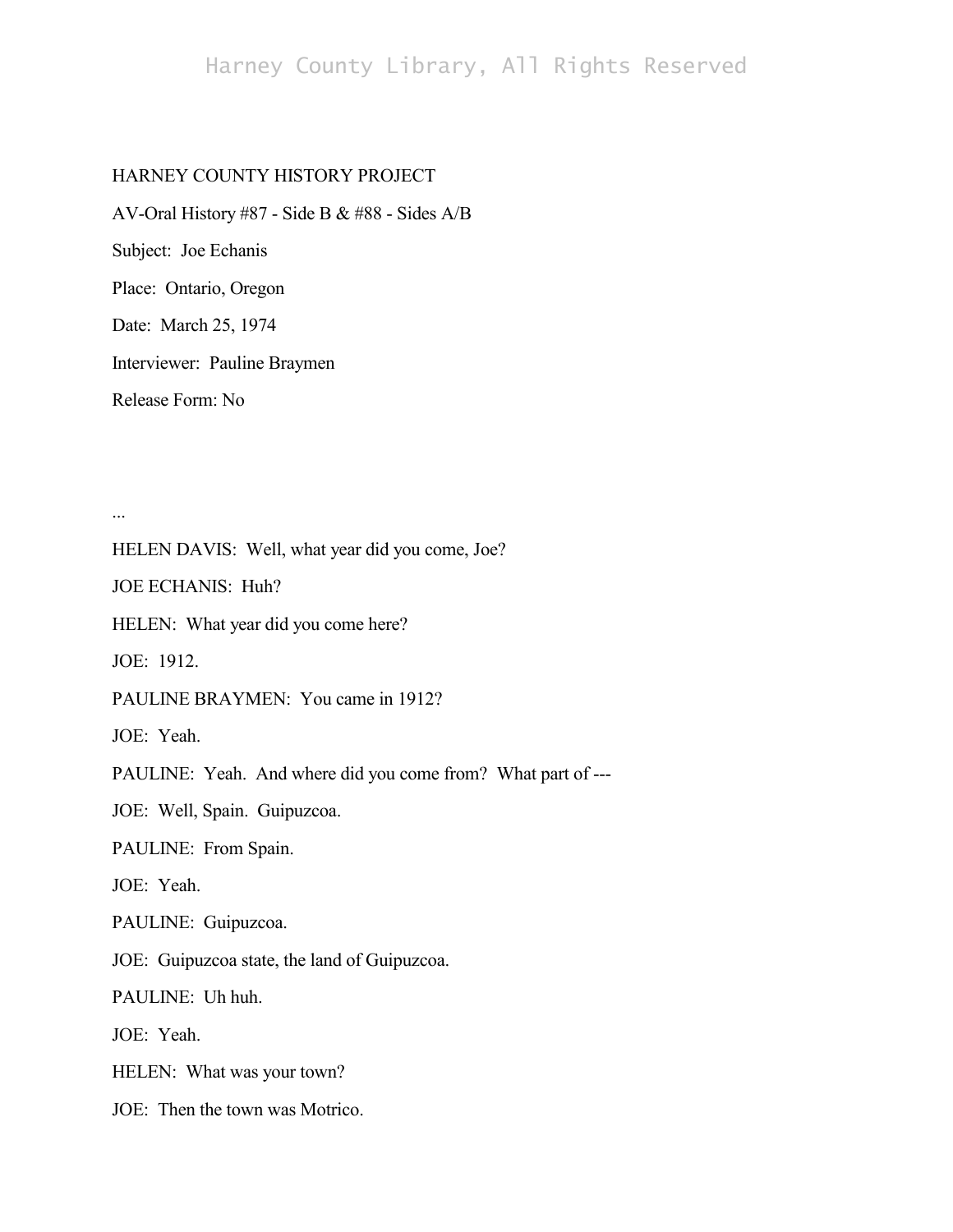# Harney County Library, All Rights Reserved

## HARNEY COUNTY HISTORY PROJECT

AV-Oral History #87 - Side B & #88 - Sides A/B Subject: Joe Echanis Place: Ontario, Oregon Date: March 25, 1974 Interviewer: Pauline Braymen Release Form: No

...

HELEN DAVIS: Well, what year did you come, Joe?

JOE ECHANIS: Huh?

HELEN: What year did you come here?

JOE: 1912.

PAULINE BRAYMEN: You came in 1912?

JOE: Yeah.

PAULINE: Yeah. And where did you come from? What part of ---

JOE: Well, Spain. Guipuzcoa.

PAULINE: From Spain.

JOE: Yeah.

PAULINE: Guipuzcoa.

JOE: Guipuzcoa state, the land of Guipuzcoa.

PAULINE: Uh huh.

JOE: Yeah.

HELEN: What was your town?

JOE: Then the town was Motrico.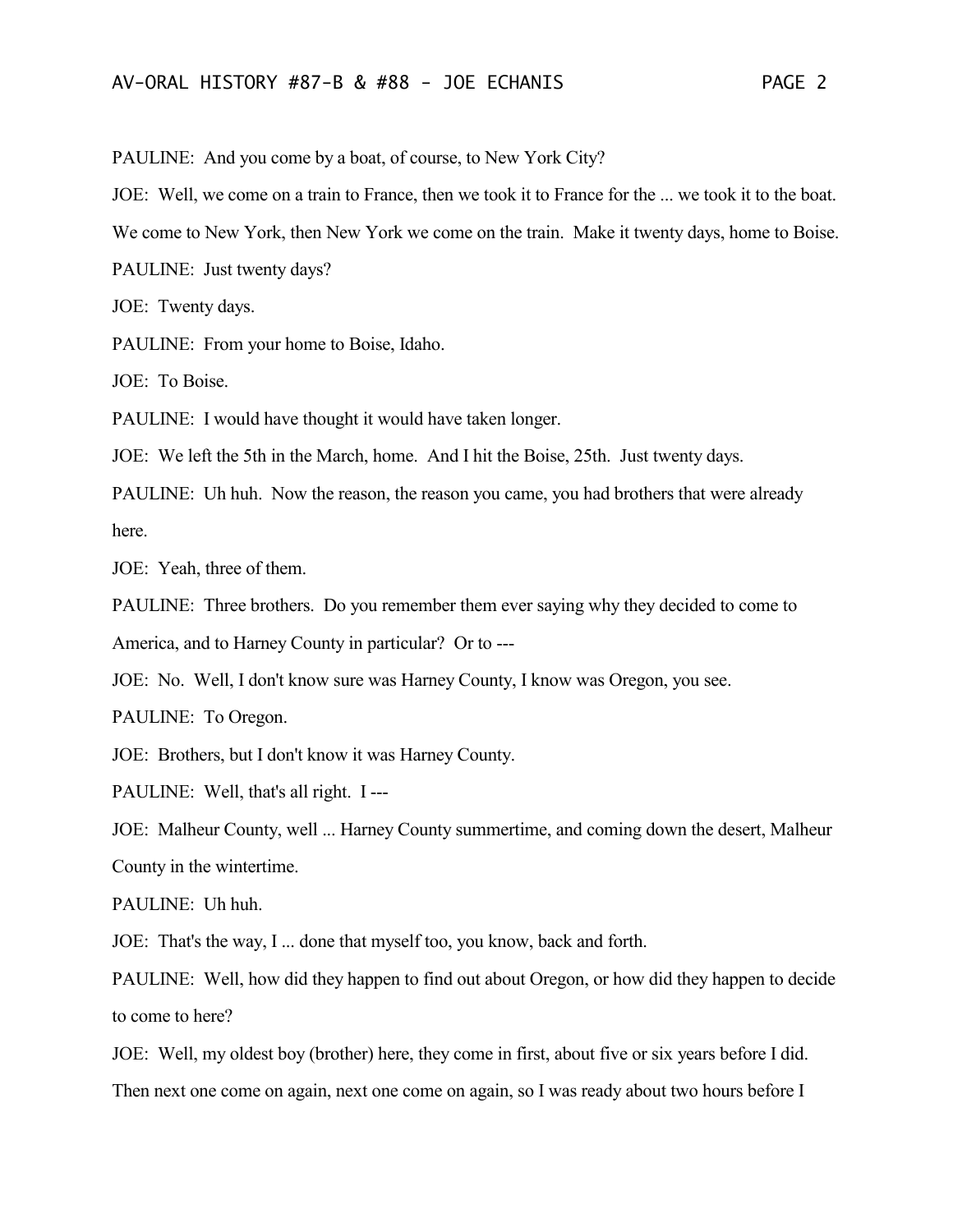PAULINE: And you come by a boat, of course, to New York City?

JOE: Well, we come on a train to France, then we took it to France for the ... we took it to the boat.

We come to New York, then New York we come on the train. Make it twenty days, home to Boise.

PAULINE: Just twenty days?

JOE: Twenty days.

PAULINE: From your home to Boise, Idaho.

JOE: To Boise.

PAULINE: I would have thought it would have taken longer.

JOE: We left the 5th in the March, home. And I hit the Boise, 25th. Just twenty days.

PAULINE: Uh huh. Now the reason, the reason you came, you had brothers that were already here.

JOE: Yeah, three of them.

PAULINE: Three brothers. Do you remember them ever saying why they decided to come to

America, and to Harney County in particular? Or to ---

JOE: No. Well, I don't know sure was Harney County, I know was Oregon, you see.

PAULINE: To Oregon.

JOE: Brothers, but I don't know it was Harney County.

PAULINE: Well, that's all right. I ---

JOE: Malheur County, well ... Harney County summertime, and coming down the desert, Malheur County in the wintertime.

PAULINE: Uh huh.

JOE: That's the way, I ... done that myself too, you know, back and forth.

PAULINE: Well, how did they happen to find out about Oregon, or how did they happen to decide to come to here?

JOE: Well, my oldest boy (brother) here, they come in first, about five or six years before I did.

Then next one come on again, next one come on again, so I was ready about two hours before I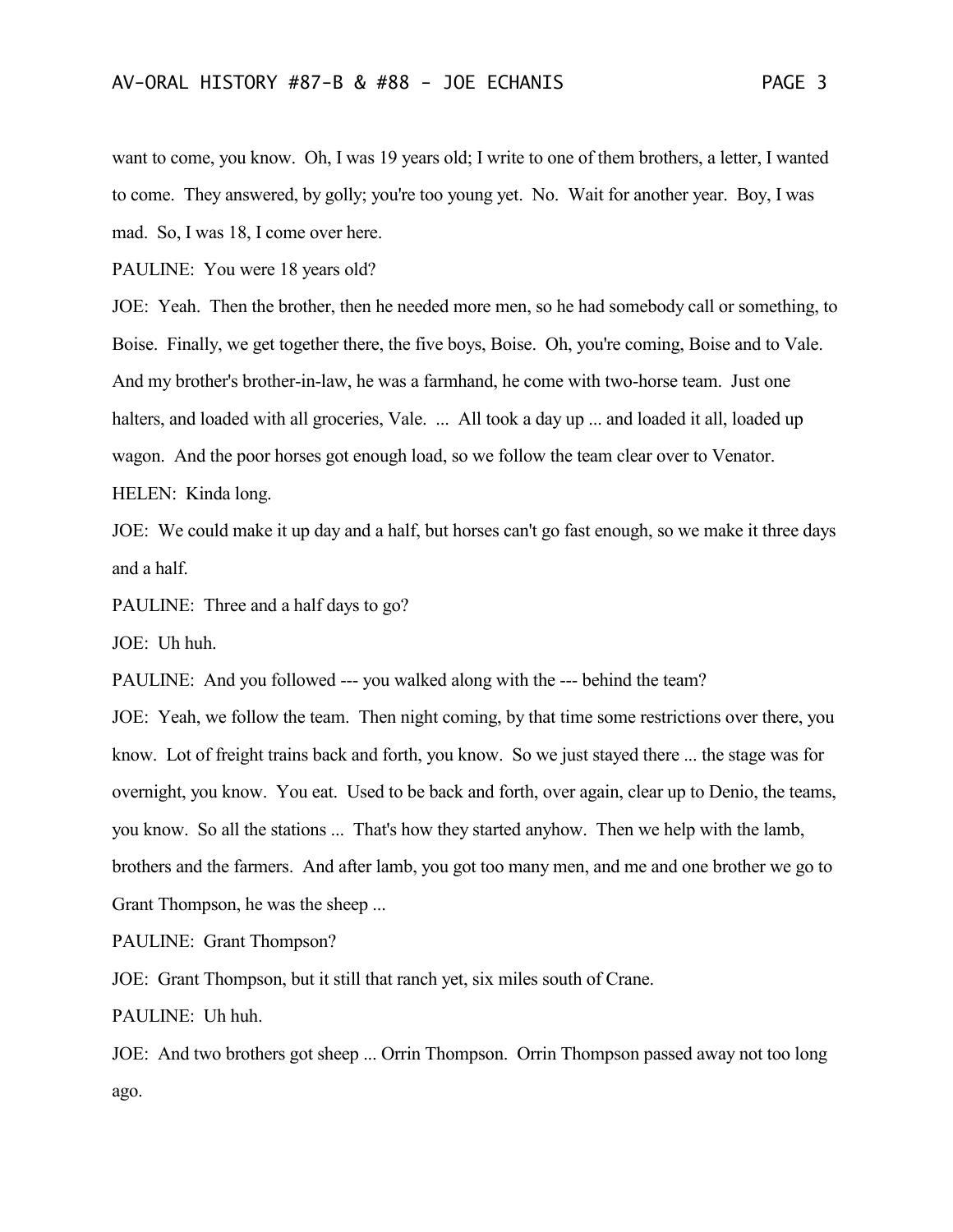want to come, you know. Oh, I was 19 years old; I write to one of them brothers, a letter, I wanted to come. They answered, by golly; you're too young yet. No. Wait for another year. Boy, I was mad. So, I was 18, I come over here.

PAULINE: You were 18 years old?

JOE: Yeah. Then the brother, then he needed more men, so he had somebody call or something, to Boise. Finally, we get together there, the five boys, Boise. Oh, you're coming, Boise and to Vale. And my brother's brother-in-law, he was a farmhand, he come with two-horse team. Just one halters, and loaded with all groceries, Vale. ... All took a day up ... and loaded it all, loaded up wagon. And the poor horses got enough load, so we follow the team clear over to Venator. HELEN: Kinda long.

JOE: We could make it up day and a half, but horses can't go fast enough, so we make it three days and a half.

PAULINE: Three and a half days to go?

JOE: Uh huh.

PAULINE: And you followed --- you walked along with the --- behind the team?

JOE: Yeah, we follow the team. Then night coming, by that time some restrictions over there, you know. Lot of freight trains back and forth, you know. So we just stayed there ... the stage was for overnight, you know. You eat. Used to be back and forth, over again, clear up to Denio, the teams, you know. So all the stations ... That's how they started anyhow. Then we help with the lamb, brothers and the farmers. And after lamb, you got too many men, and me and one brother we go to Grant Thompson, he was the sheep ...

PAULINE: Grant Thompson?

JOE: Grant Thompson, but it still that ranch yet, six miles south of Crane.

PAULINE: Uh huh.

JOE: And two brothers got sheep ... Orrin Thompson. Orrin Thompson passed away not too long ago.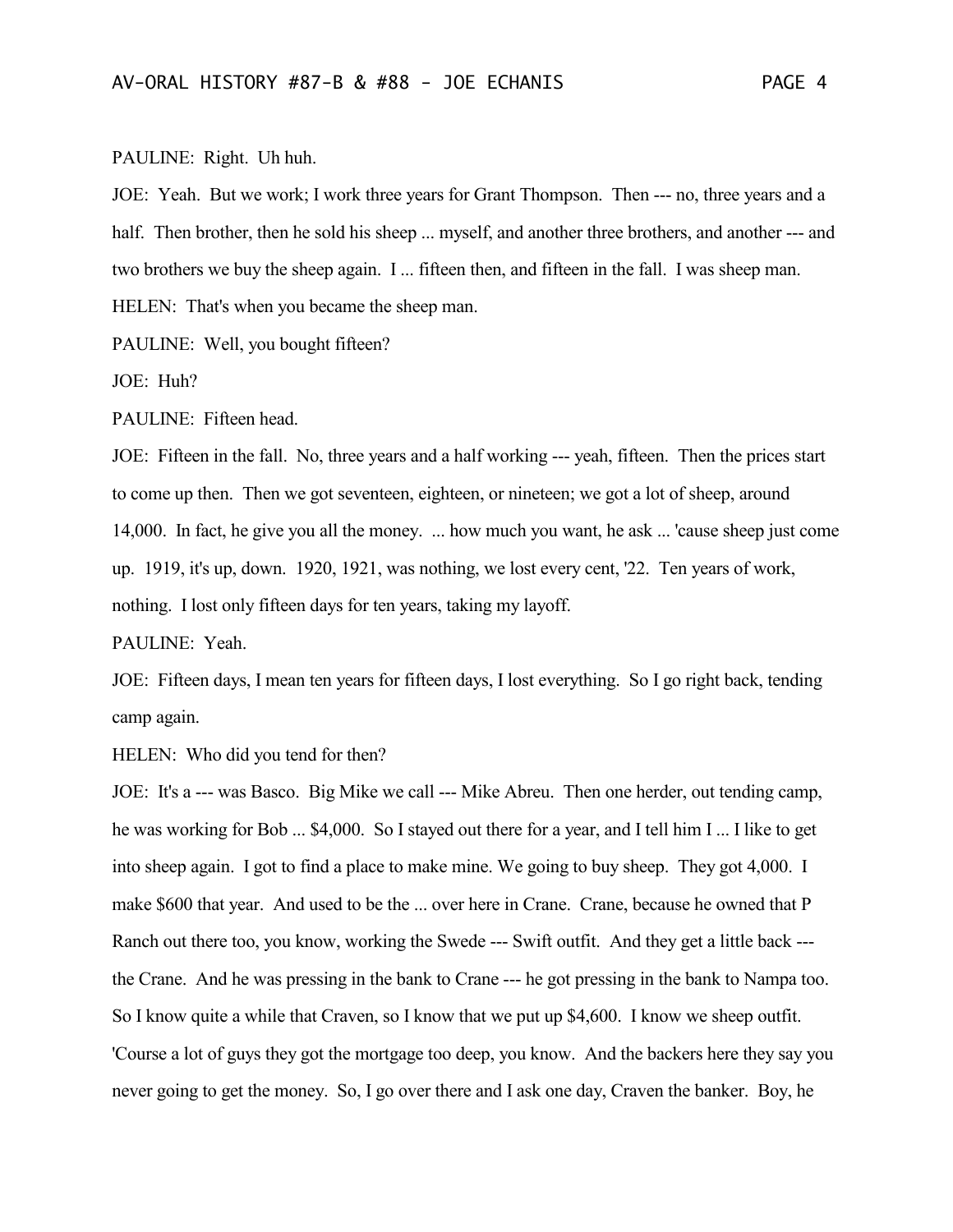#### PAULINE: Right. Uh huh.

JOE: Yeah. But we work; I work three years for Grant Thompson. Then --- no, three years and a half. Then brother, then he sold his sheep ... myself, and another three brothers, and another --- and two brothers we buy the sheep again. I ... fifteen then, and fifteen in the fall. I was sheep man. HELEN: That's when you became the sheep man.

PAULINE: Well, you bought fifteen?

JOE: Huh?

PAULINE: Fifteen head.

JOE: Fifteen in the fall. No, three years and a half working --- yeah, fifteen. Then the prices start to come up then. Then we got seventeen, eighteen, or nineteen; we got a lot of sheep, around 14,000. In fact, he give you all the money. ... how much you want, he ask ... 'cause sheep just come up. 1919, it's up, down. 1920, 1921, was nothing, we lost every cent, '22. Ten years of work, nothing. I lost only fifteen days for ten years, taking my layoff.

PAULINE: Yeah.

JOE: Fifteen days, I mean ten years for fifteen days, I lost everything. So I go right back, tending camp again.

HELEN: Who did you tend for then?

JOE: It's a --- was Basco. Big Mike we call --- Mike Abreu. Then one herder, out tending camp, he was working for Bob ... \$4,000. So I stayed out there for a year, and I tell him I ... I like to get into sheep again. I got to find a place to make mine. We going to buy sheep. They got 4,000. I make \$600 that year. And used to be the ... over here in Crane. Crane, because he owned that P Ranch out there too, you know, working the Swede --- Swift outfit. And they get a little back -- the Crane. And he was pressing in the bank to Crane --- he got pressing in the bank to Nampa too. So I know quite a while that Craven, so I know that we put up \$4,600. I know we sheep outfit. 'Course a lot of guys they got the mortgage too deep, you know. And the backers here they say you never going to get the money. So, I go over there and I ask one day, Craven the banker. Boy, he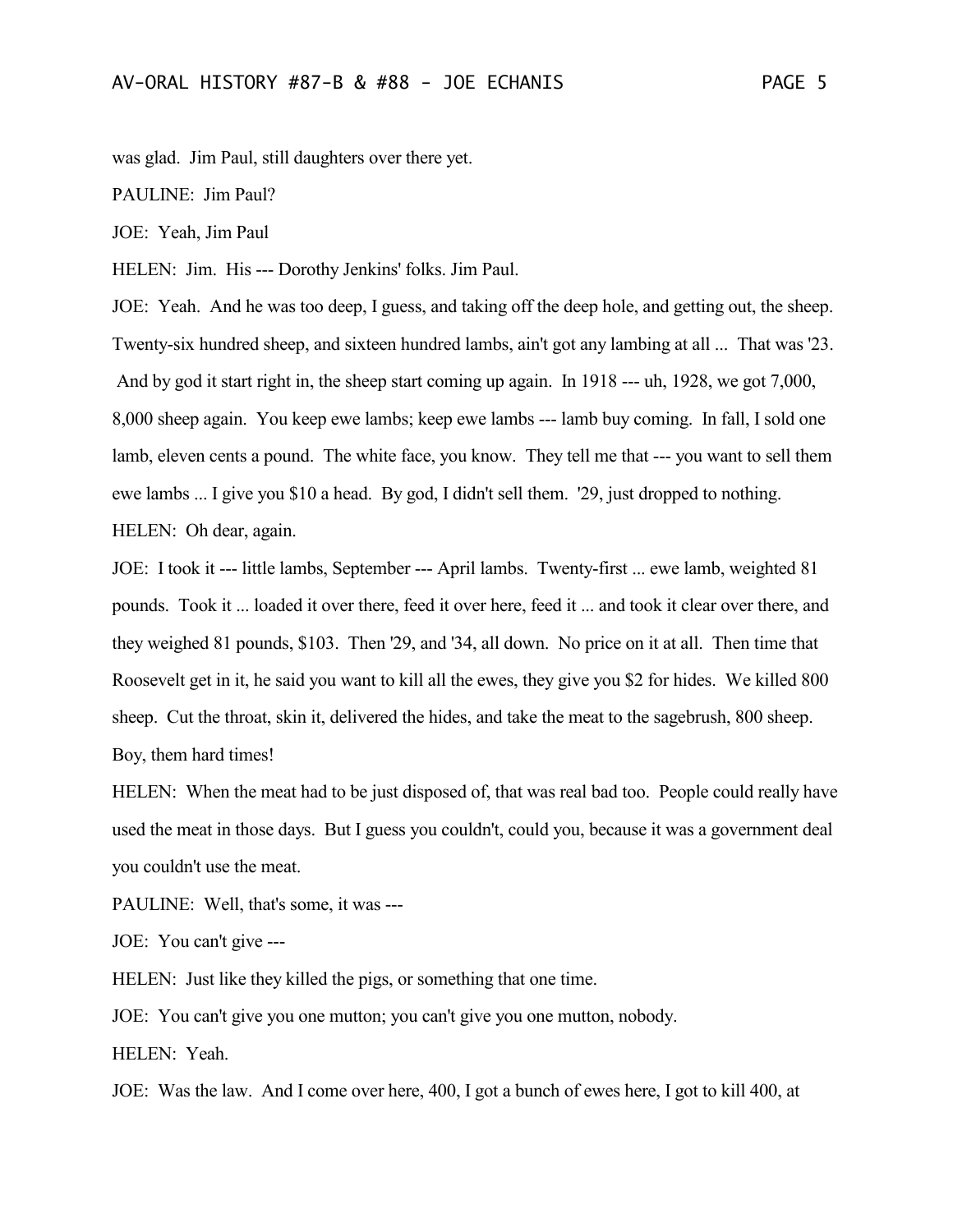was glad. Jim Paul, still daughters over there yet.

PAULINE: Jim Paul?

JOE: Yeah, Jim Paul

HELEN: Jim. His --- Dorothy Jenkins' folks. Jim Paul.

JOE: Yeah. And he was too deep, I guess, and taking off the deep hole, and getting out, the sheep. Twenty-six hundred sheep, and sixteen hundred lambs, ain't got any lambing at all ... That was '23. And by god it start right in, the sheep start coming up again. In 1918 --- uh, 1928, we got 7,000, 8,000 sheep again. You keep ewe lambs; keep ewe lambs --- lamb buy coming. In fall, I sold one lamb, eleven cents a pound. The white face, you know. They tell me that --- you want to sell them ewe lambs ... I give you \$10 a head. By god, I didn't sell them. '29, just dropped to nothing. HELEN: Oh dear, again.

JOE: I took it --- little lambs, September --- April lambs. Twenty-first ... ewe lamb, weighted 81 pounds. Took it ... loaded it over there, feed it over here, feed it ... and took it clear over there, and they weighed 81 pounds, \$103. Then '29, and '34, all down. No price on it at all. Then time that Roosevelt get in it, he said you want to kill all the ewes, they give you \$2 for hides. We killed 800 sheep. Cut the throat, skin it, delivered the hides, and take the meat to the sagebrush, 800 sheep. Boy, them hard times!

HELEN: When the meat had to be just disposed of, that was real bad too. People could really have used the meat in those days. But I guess you couldn't, could you, because it was a government deal you couldn't use the meat.

PAULINE: Well, that's some, it was ---

JOE: You can't give ---

HELEN: Just like they killed the pigs, or something that one time.

JOE: You can't give you one mutton; you can't give you one mutton, nobody.

HELEN: Yeah.

JOE: Was the law. And I come over here, 400, I got a bunch of ewes here, I got to kill 400, at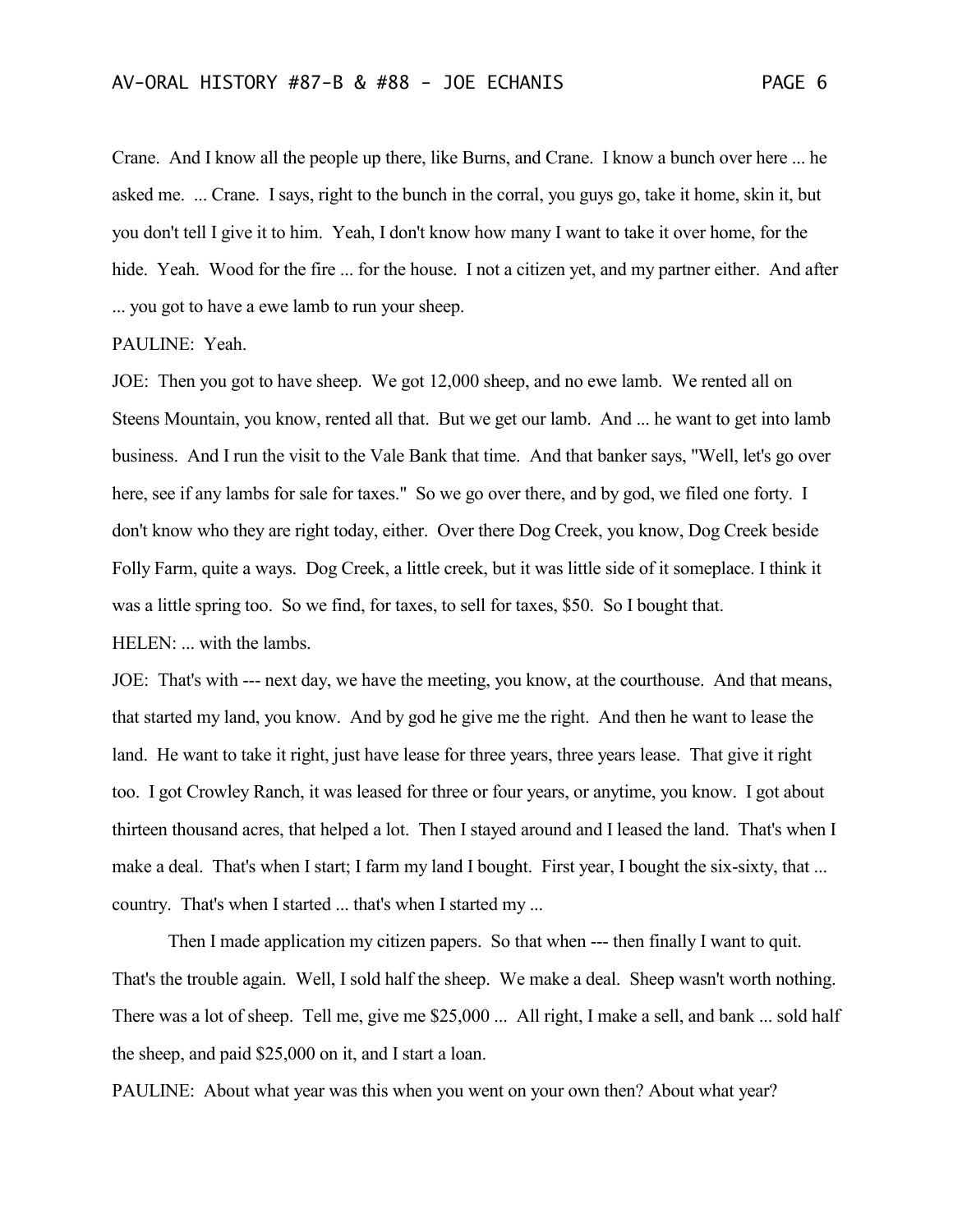Crane. And I know all the people up there, like Burns, and Crane. I know a bunch over here ... he asked me. ... Crane. I says, right to the bunch in the corral, you guys go, take it home, skin it, but you don't tell I give it to him. Yeah, I don't know how many I want to take it over home, for the

hide. Yeah. Wood for the fire ... for the house. I not a citizen yet, and my partner either. And after ... you got to have a ewe lamb to run your sheep.

## PAULINE: Yeah.

JOE: Then you got to have sheep. We got 12,000 sheep, and no ewe lamb. We rented all on Steens Mountain, you know, rented all that. But we get our lamb. And ... he want to get into lamb business. And I run the visit to the Vale Bank that time. And that banker says, "Well, let's go over here, see if any lambs for sale for taxes." So we go over there, and by god, we filed one forty. I don't know who they are right today, either. Over there Dog Creek, you know, Dog Creek beside Folly Farm, quite a ways. Dog Creek, a little creek, but it was little side of it someplace. I think it was a little spring too. So we find, for taxes, to sell for taxes, \$50. So I bought that. HELEN: ... with the lambs.

JOE: That's with --- next day, we have the meeting, you know, at the courthouse. And that means, that started my land, you know. And by god he give me the right. And then he want to lease the land. He want to take it right, just have lease for three years, three years lease. That give it right too. I got Crowley Ranch, it was leased for three or four years, or anytime, you know. I got about thirteen thousand acres, that helped a lot. Then I stayed around and I leased the land. That's when I make a deal. That's when I start; I farm my land I bought. First year, I bought the six-sixty, that ... country. That's when I started ... that's when I started my ...

Then I made application my citizen papers. So that when --- then finally I want to quit. That's the trouble again. Well, I sold half the sheep. We make a deal. Sheep wasn't worth nothing. There was a lot of sheep. Tell me, give me \$25,000 ... All right, I make a sell, and bank ... sold half the sheep, and paid \$25,000 on it, and I start a loan.

PAULINE: About what year was this when you went on your own then? About what year?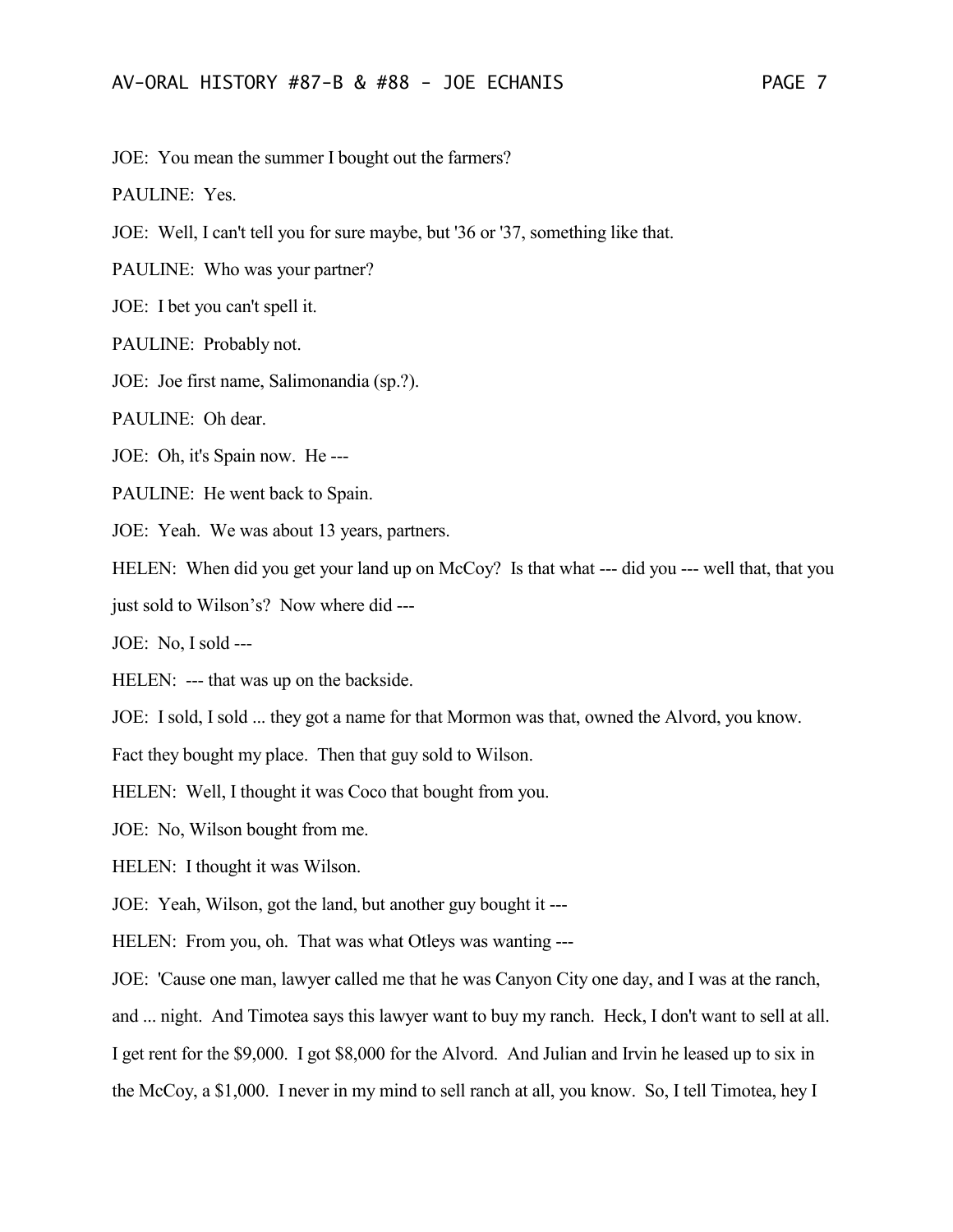JOE: You mean the summer I bought out the farmers?

PAULINE: Yes.

JOE: Well, I can't tell you for sure maybe, but '36 or '37, something like that.

PAULINE: Who was your partner?

JOE: I bet you can't spell it.

PAULINE: Probably not.

JOE: Joe first name, Salimonandia (sp.?).

PAULINE: Oh dear.

JOE: Oh, it's Spain now. He ---

PAULINE: He went back to Spain.

JOE: Yeah. We was about 13 years, partners.

HELEN: When did you get your land up on McCoy? Is that what --- did you --- well that, that you

just sold to Wilson's? Now where did ---

JOE: No, I sold ---

HELEN: --- that was up on the backside.

JOE: I sold, I sold ... they got a name for that Mormon was that, owned the Alvord, you know.

Fact they bought my place. Then that guy sold to Wilson.

HELEN: Well, I thought it was Coco that bought from you.

JOE: No, Wilson bought from me.

HELEN: I thought it was Wilson.

JOE: Yeah, Wilson, got the land, but another guy bought it ---

HELEN: From you, oh. That was what Otleys was wanting ---

JOE: 'Cause one man, lawyer called me that he was Canyon City one day, and I was at the ranch,

and ... night. And Timotea says this lawyer want to buy my ranch. Heck, I don't want to sell at all.

I get rent for the \$9,000. I got \$8,000 for the Alvord. And Julian and Irvin he leased up to six in

the McCoy, a \$1,000. I never in my mind to sell ranch at all, you know. So, I tell Timotea, hey I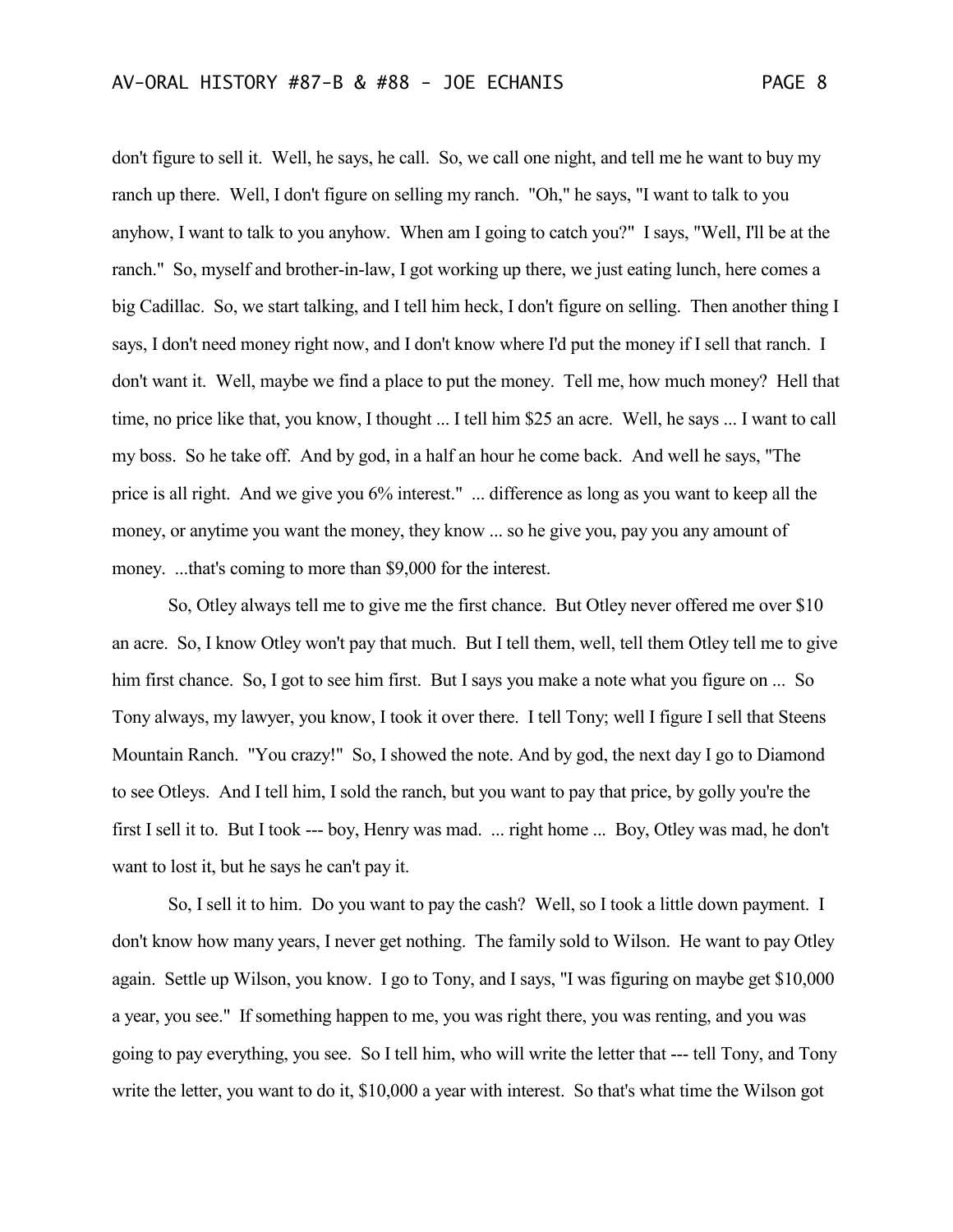don't figure to sell it. Well, he says, he call. So, we call one night, and tell me he want to buy my ranch up there. Well, I don't figure on selling my ranch. "Oh," he says, "I want to talk to you anyhow, I want to talk to you anyhow. When am I going to catch you?" I says, "Well, I'll be at the ranch." So, myself and brother-in-law, I got working up there, we just eating lunch, here comes a big Cadillac. So, we start talking, and I tell him heck, I don't figure on selling. Then another thing I says, I don't need money right now, and I don't know where I'd put the money if I sell that ranch. I don't want it. Well, maybe we find a place to put the money. Tell me, how much money? Hell that time, no price like that, you know, I thought ... I tell him \$25 an acre. Well, he says ... I want to call my boss. So he take off. And by god, in a half an hour he come back. And well he says, "The price is all right. And we give you 6% interest." ... difference as long as you want to keep all the money, or anytime you want the money, they know ... so he give you, pay you any amount of money. ...that's coming to more than \$9,000 for the interest.

So, Otley always tell me to give me the first chance. But Otley never offered me over \$10 an acre. So, I know Otley won't pay that much. But I tell them, well, tell them Otley tell me to give him first chance. So, I got to see him first. But I says you make a note what you figure on ... So Tony always, my lawyer, you know, I took it over there. I tell Tony; well I figure I sell that Steens Mountain Ranch. "You crazy!" So, I showed the note. And by god, the next day I go to Diamond to see Otleys. And I tell him, I sold the ranch, but you want to pay that price, by golly you're the first I sell it to. But I took --- boy, Henry was mad. ... right home ... Boy, Otley was mad, he don't want to lost it, but he says he can't pay it.

So, I sell it to him. Do you want to pay the cash? Well, so I took a little down payment. I don't know how many years, I never get nothing. The family sold to Wilson. He want to pay Otley again. Settle up Wilson, you know. I go to Tony, and I says, "I was figuring on maybe get \$10,000 a year, you see." If something happen to me, you was right there, you was renting, and you was going to pay everything, you see. So I tell him, who will write the letter that --- tell Tony, and Tony write the letter, you want to do it, \$10,000 a year with interest. So that's what time the Wilson got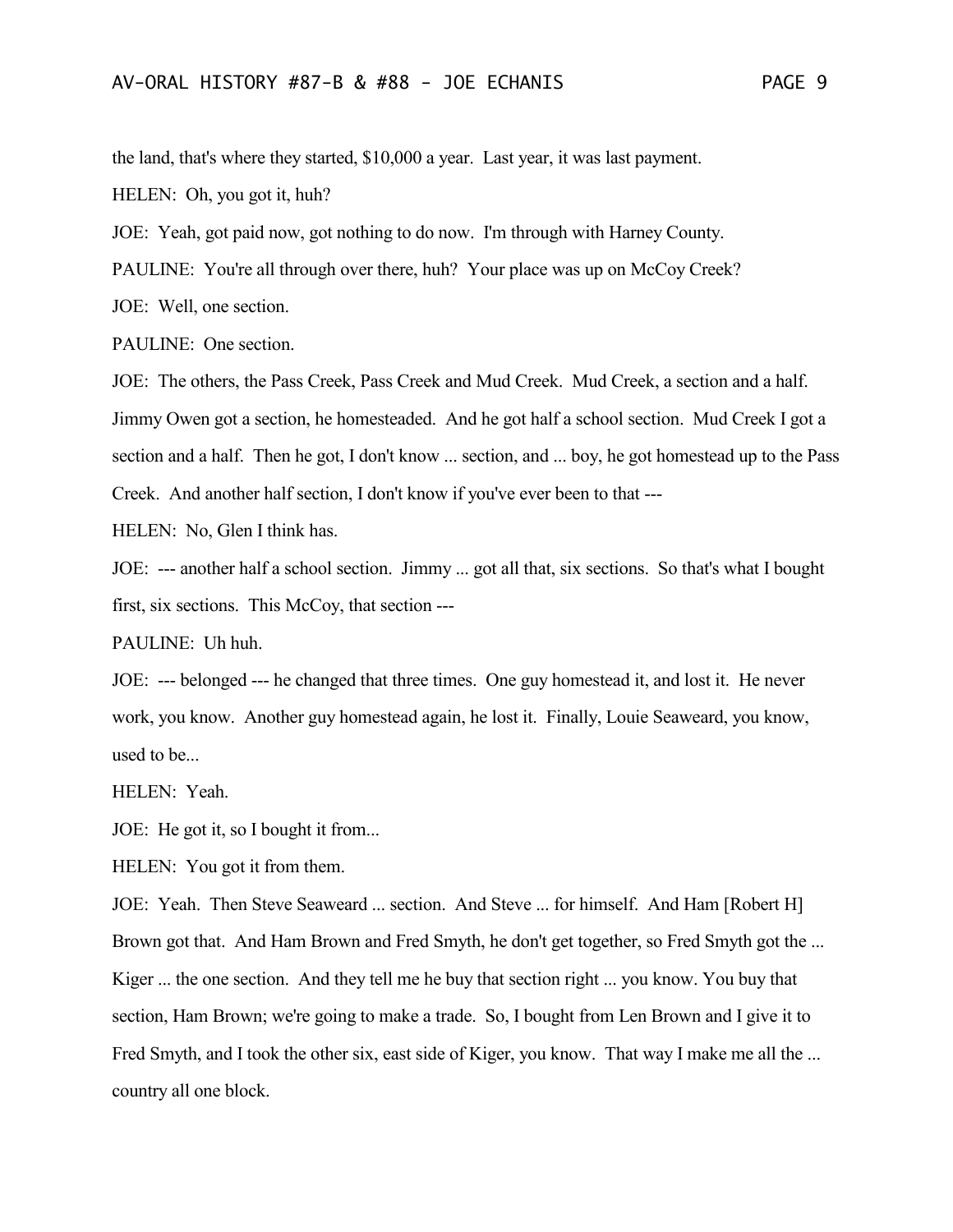the land, that's where they started, \$10,000 a year. Last year, it was last payment.

HELEN: Oh, you got it, huh?

JOE: Yeah, got paid now, got nothing to do now. I'm through with Harney County.

PAULINE: You're all through over there, huh? Your place was up on McCoy Creek?

JOE: Well, one section.

PAULINE: One section.

JOE: The others, the Pass Creek, Pass Creek and Mud Creek. Mud Creek, a section and a half. Jimmy Owen got a section, he homesteaded. And he got half a school section. Mud Creek I got a section and a half. Then he got, I don't know ... section, and ... boy, he got homestead up to the Pass Creek. And another half section, I don't know if you've ever been to that ---

HELEN: No, Glen I think has.

JOE: --- another half a school section. Jimmy ... got all that, six sections. So that's what I bought first, six sections. This McCoy, that section ---

PAULINE: Uh huh.

JOE: --- belonged --- he changed that three times. One guy homestead it, and lost it. He never work, you know. Another guy homestead again, he lost it. Finally, Louie Seaweard, you know, used to be...

HELEN: Yeah.

JOE: He got it, so I bought it from...

HELEN: You got it from them.

JOE: Yeah. Then Steve Seaweard ... section. And Steve ... for himself. And Ham [Robert H] Brown got that. And Ham Brown and Fred Smyth, he don't get together, so Fred Smyth got the ... Kiger ... the one section. And they tell me he buy that section right ... you know. You buy that section, Ham Brown; we're going to make a trade. So, I bought from Len Brown and I give it to Fred Smyth, and I took the other six, east side of Kiger, you know. That way I make me all the ... country all one block.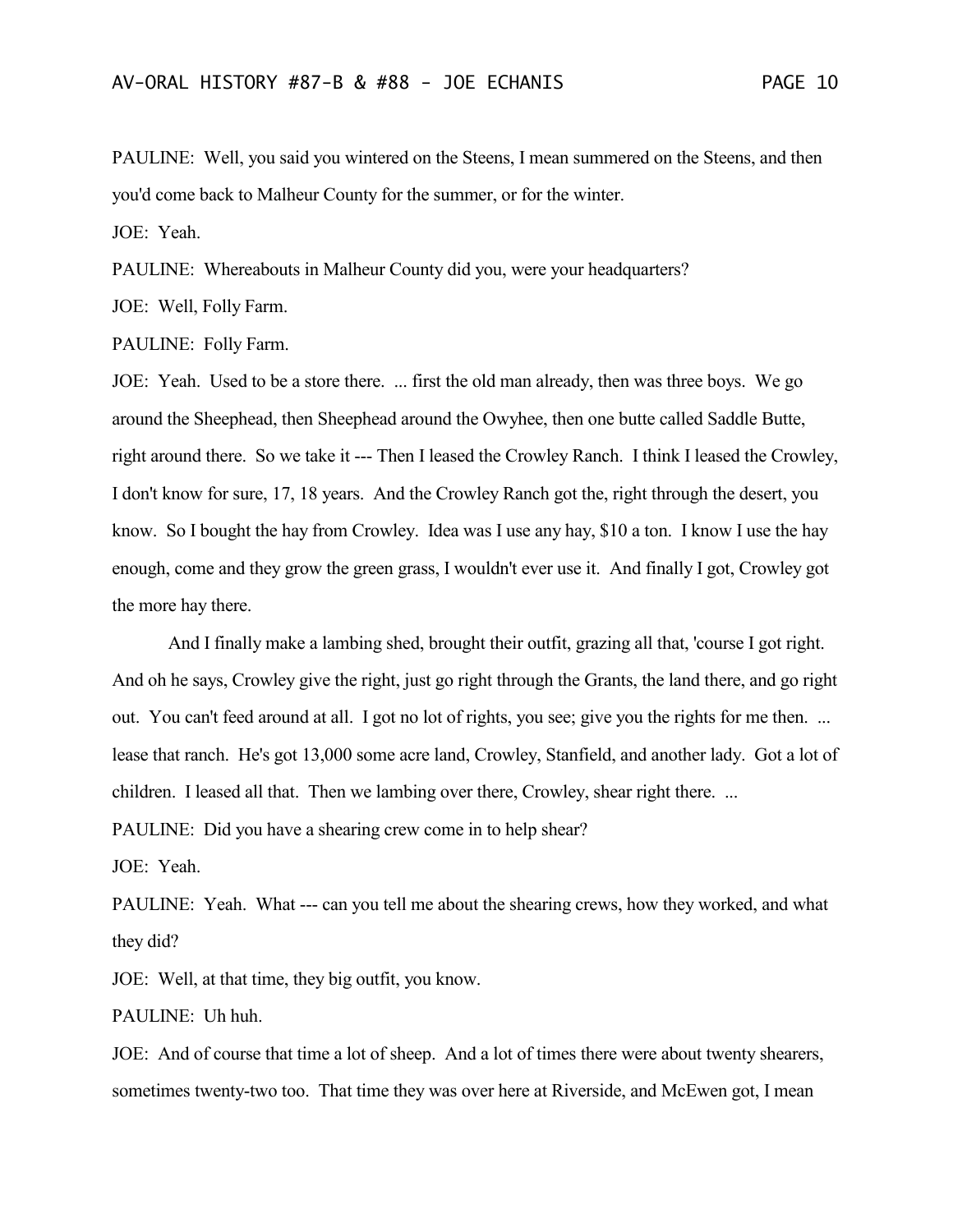PAULINE: Well, you said you wintered on the Steens, I mean summered on the Steens, and then you'd come back to Malheur County for the summer, or for the winter.

JOE: Yeah.

PAULINE: Whereabouts in Malheur County did you, were your headquarters?

JOE: Well, Folly Farm.

PAULINE: Folly Farm.

JOE: Yeah. Used to be a store there. ... first the old man already, then was three boys. We go around the Sheephead, then Sheephead around the Owyhee, then one butte called Saddle Butte, right around there. So we take it --- Then I leased the Crowley Ranch. I think I leased the Crowley, I don't know for sure, 17, 18 years. And the Crowley Ranch got the, right through the desert, you know. So I bought the hay from Crowley. Idea was I use any hay, \$10 a ton. I know I use the hay enough, come and they grow the green grass, I wouldn't ever use it. And finally I got, Crowley got the more hay there.

And I finally make a lambing shed, brought their outfit, grazing all that, 'course I got right. And oh he says, Crowley give the right, just go right through the Grants, the land there, and go right out. You can't feed around at all. I got no lot of rights, you see; give you the rights for me then. ... lease that ranch. He's got 13,000 some acre land, Crowley, Stanfield, and another lady. Got a lot of children. I leased all that. Then we lambing over there, Crowley, shear right there. ...

PAULINE: Did you have a shearing crew come in to help shear?

JOE: Yeah.

PAULINE: Yeah. What --- can you tell me about the shearing crews, how they worked, and what they did?

JOE: Well, at that time, they big outfit, you know.

PAULINE: Uh huh.

JOE: And of course that time a lot of sheep. And a lot of times there were about twenty shearers, sometimes twenty-two too. That time they was over here at Riverside, and McEwen got, I mean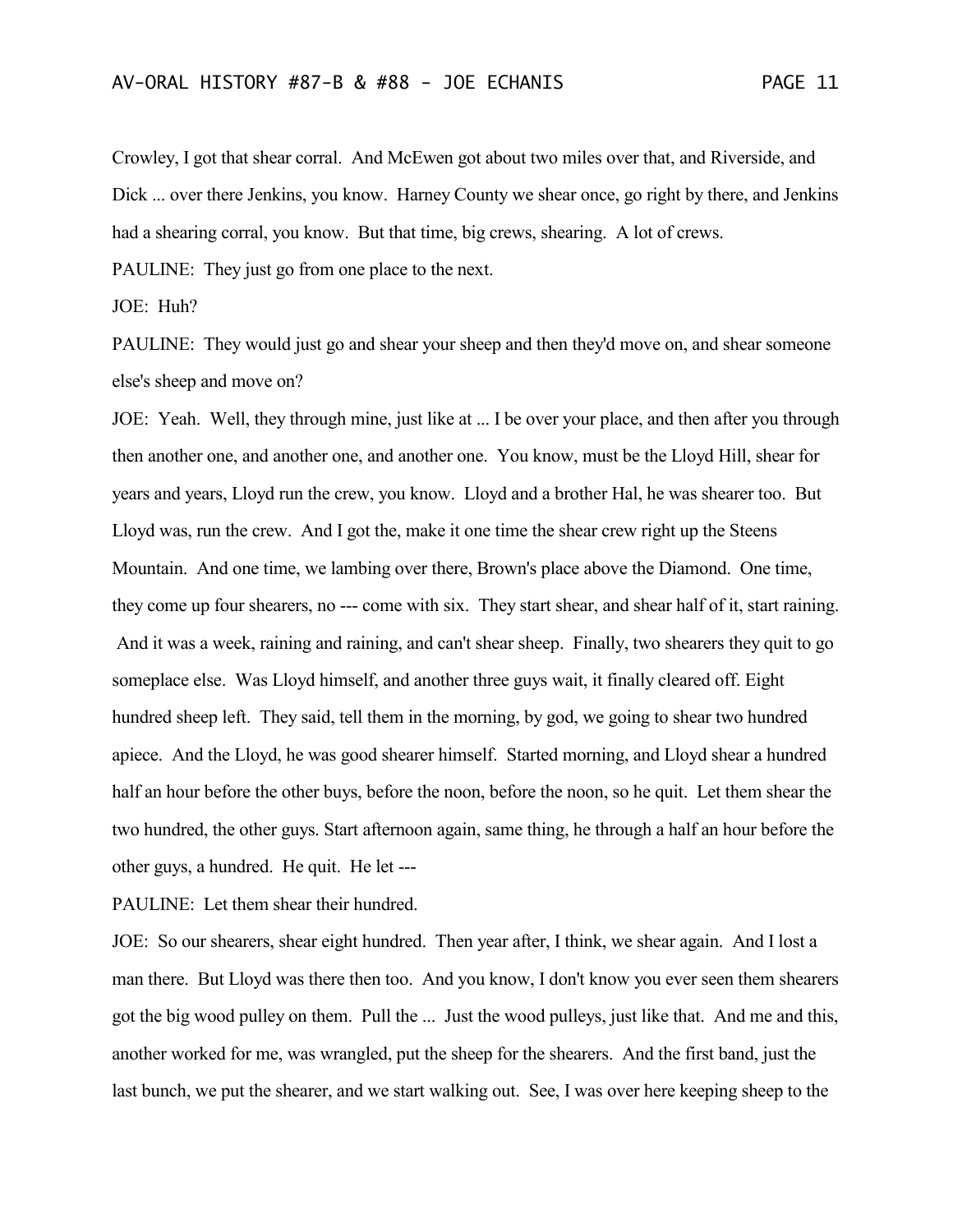Crowley, I got that shear corral. And McEwen got about two miles over that, and Riverside, and Dick ... over there Jenkins, you know. Harney County we shear once, go right by there, and Jenkins had a shearing corral, you know. But that time, big crews, shearing. A lot of crews.

PAULINE: They just go from one place to the next.

JOE: Huh?

PAULINE: They would just go and shear your sheep and then they'd move on, and shear someone else's sheep and move on?

JOE: Yeah. Well, they through mine, just like at ... I be over your place, and then after you through then another one, and another one, and another one. You know, must be the Lloyd Hill, shear for years and years, Lloyd run the crew, you know. Lloyd and a brother Hal, he was shearer too. But Lloyd was, run the crew. And I got the, make it one time the shear crew right up the Steens Mountain. And one time, we lambing over there, Brown's place above the Diamond. One time, they come up four shearers, no --- come with six. They start shear, and shear half of it, start raining. And it was a week, raining and raining, and can't shear sheep. Finally, two shearers they quit to go someplace else. Was Lloyd himself, and another three guys wait, it finally cleared off. Eight hundred sheep left. They said, tell them in the morning, by god, we going to shear two hundred apiece. And the Lloyd, he was good shearer himself. Started morning, and Lloyd shear a hundred half an hour before the other buys, before the noon, before the noon, so he quit. Let them shear the two hundred, the other guys. Start afternoon again, same thing, he through a half an hour before the other guys, a hundred. He quit. He let ---

PAULINE: Let them shear their hundred.

JOE: So our shearers, shear eight hundred. Then year after, I think, we shear again. And I lost a man there. But Lloyd was there then too. And you know, I don't know you ever seen them shearers got the big wood pulley on them. Pull the ... Just the wood pulleys, just like that. And me and this, another worked for me, was wrangled, put the sheep for the shearers. And the first band, just the last bunch, we put the shearer, and we start walking out. See, I was over here keeping sheep to the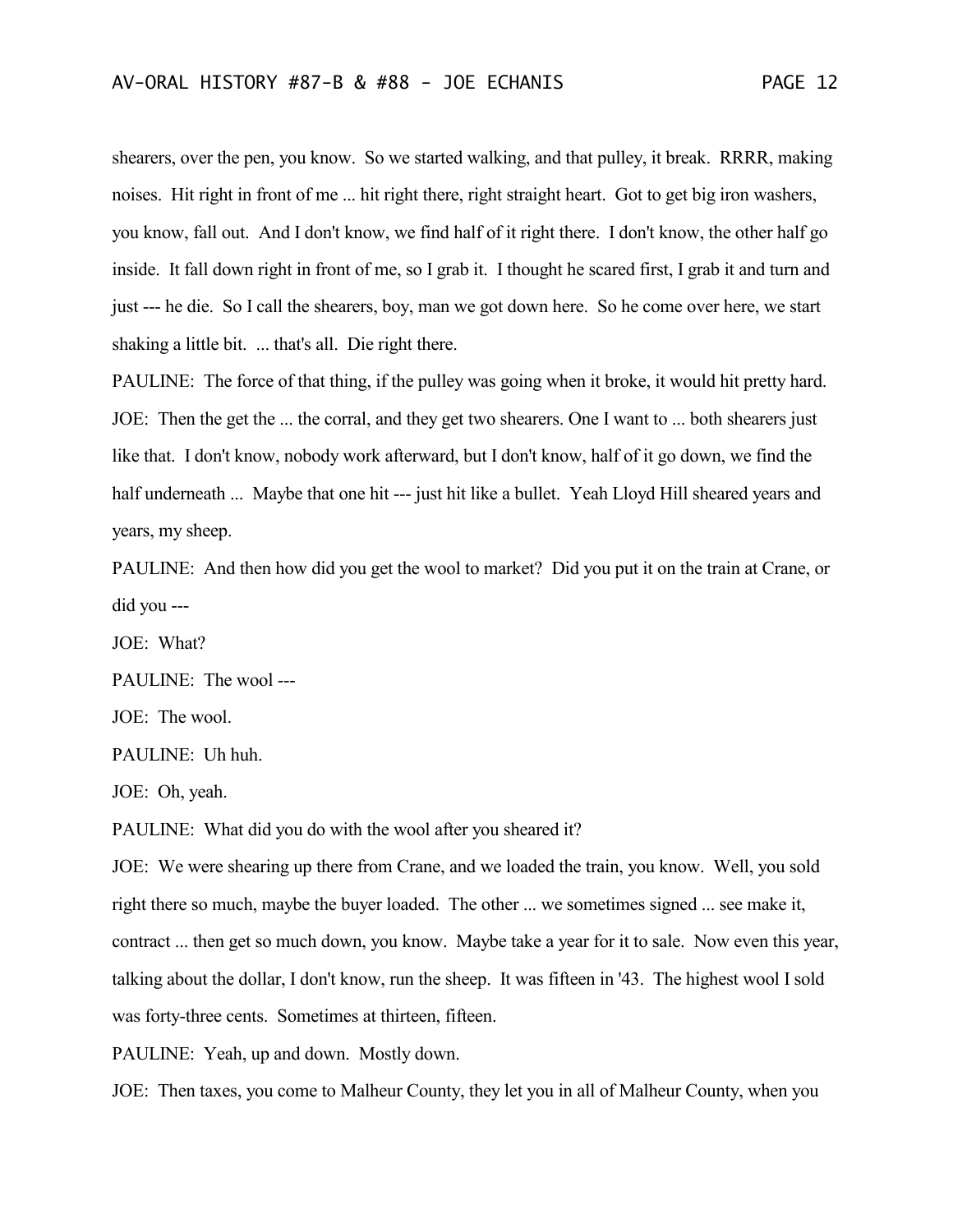shearers, over the pen, you know. So we started walking, and that pulley, it break. RRRR, making noises. Hit right in front of me ... hit right there, right straight heart. Got to get big iron washers, you know, fall out. And I don't know, we find half of it right there. I don't know, the other half go inside. It fall down right in front of me, so I grab it. I thought he scared first, I grab it and turn and just --- he die. So I call the shearers, boy, man we got down here. So he come over here, we start shaking a little bit. ... that's all. Die right there.

PAULINE: The force of that thing, if the pulley was going when it broke, it would hit pretty hard. JOE: Then the get the ... the corral, and they get two shearers. One I want to ... both shearers just like that. I don't know, nobody work afterward, but I don't know, half of it go down, we find the half underneath ... Maybe that one hit --- just hit like a bullet. Yeah Lloyd Hill sheared years and years, my sheep.

PAULINE: And then how did you get the wool to market? Did you put it on the train at Crane, or did you ---

JOE: What?

PAULINE: The wool ---

JOE: The wool.

PAULINE: Uh huh.

JOE: Oh, yeah.

PAULINE: What did you do with the wool after you sheared it?

JOE: We were shearing up there from Crane, and we loaded the train, you know. Well, you sold right there so much, maybe the buyer loaded. The other ... we sometimes signed ... see make it, contract ... then get so much down, you know. Maybe take a year for it to sale. Now even this year, talking about the dollar, I don't know, run the sheep. It was fifteen in '43. The highest wool I sold was forty-three cents. Sometimes at thirteen, fifteen.

PAULINE: Yeah, up and down. Mostly down.

JOE: Then taxes, you come to Malheur County, they let you in all of Malheur County, when you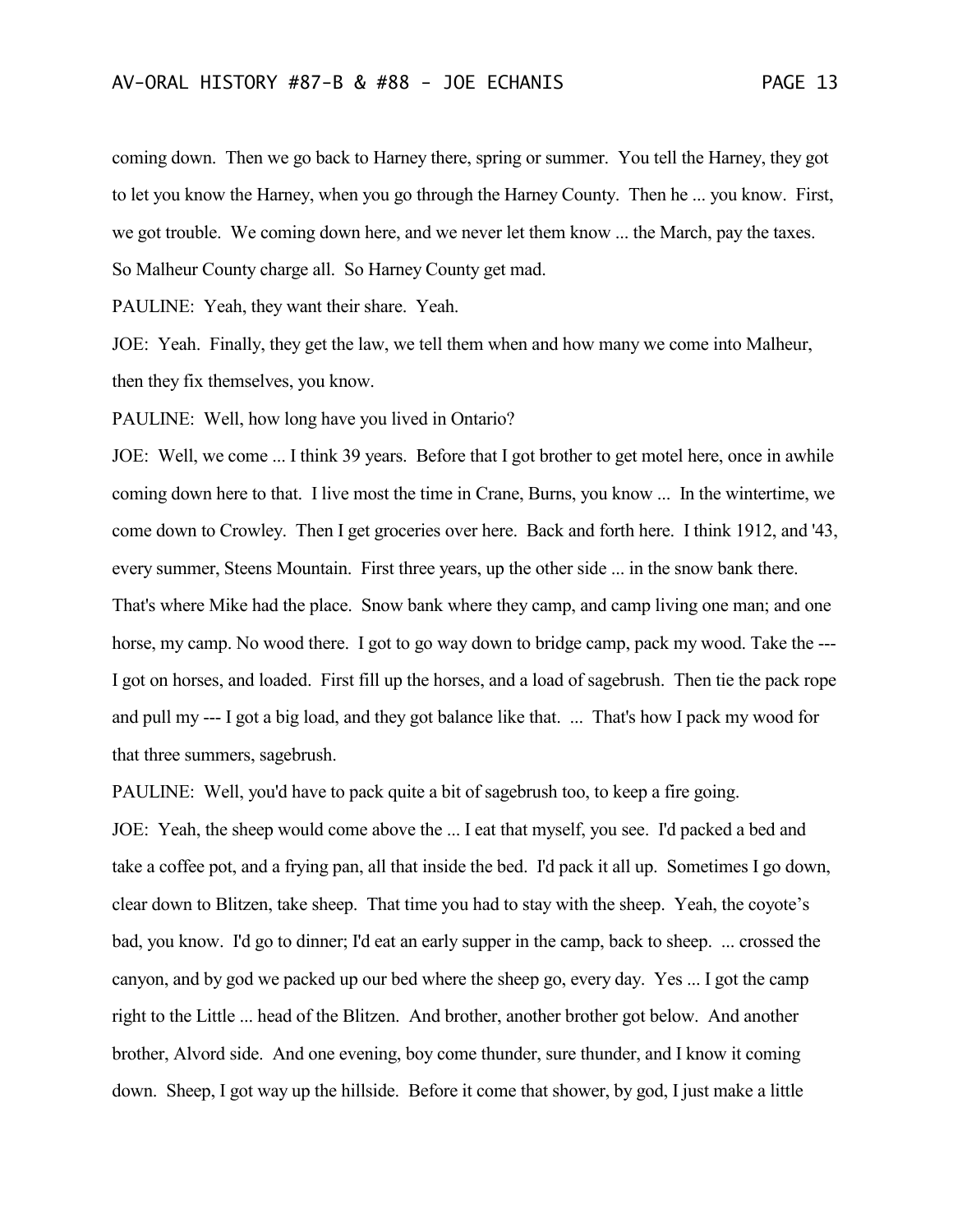coming down. Then we go back to Harney there, spring or summer. You tell the Harney, they got to let you know the Harney, when you go through the Harney County. Then he ... you know. First, we got trouble. We coming down here, and we never let them know ... the March, pay the taxes. So Malheur County charge all. So Harney County get mad.

PAULINE: Yeah, they want their share. Yeah.

JOE: Yeah. Finally, they get the law, we tell them when and how many we come into Malheur, then they fix themselves, you know.

PAULINE: Well, how long have you lived in Ontario?

JOE: Well, we come ... I think 39 years. Before that I got brother to get motel here, once in awhile coming down here to that. I live most the time in Crane, Burns, you know ... In the wintertime, we come down to Crowley. Then I get groceries over here. Back and forth here. I think 1912, and '43, every summer, Steens Mountain. First three years, up the other side ... in the snow bank there. That's where Mike had the place. Snow bank where they camp, and camp living one man; and one horse, my camp. No wood there. I got to go way down to bridge camp, pack my wood. Take the --- I got on horses, and loaded. First fill up the horses, and a load of sagebrush. Then tie the pack rope and pull my --- I got a big load, and they got balance like that. ... That's how I pack my wood for that three summers, sagebrush.

PAULINE: Well, you'd have to pack quite a bit of sagebrush too, to keep a fire going.

JOE: Yeah, the sheep would come above the ... I eat that myself, you see. I'd packed a bed and take a coffee pot, and a frying pan, all that inside the bed. I'd pack it all up. Sometimes I go down, clear down to Blitzen, take sheep. That time you had to stay with the sheep. Yeah, the coyote's bad, you know. I'd go to dinner; I'd eat an early supper in the camp, back to sheep. ... crossed the canyon, and by god we packed up our bed where the sheep go, every day. Yes ... I got the camp right to the Little ... head of the Blitzen. And brother, another brother got below. And another brother, Alvord side. And one evening, boy come thunder, sure thunder, and I know it coming down. Sheep, I got way up the hillside. Before it come that shower, by god, I just make a little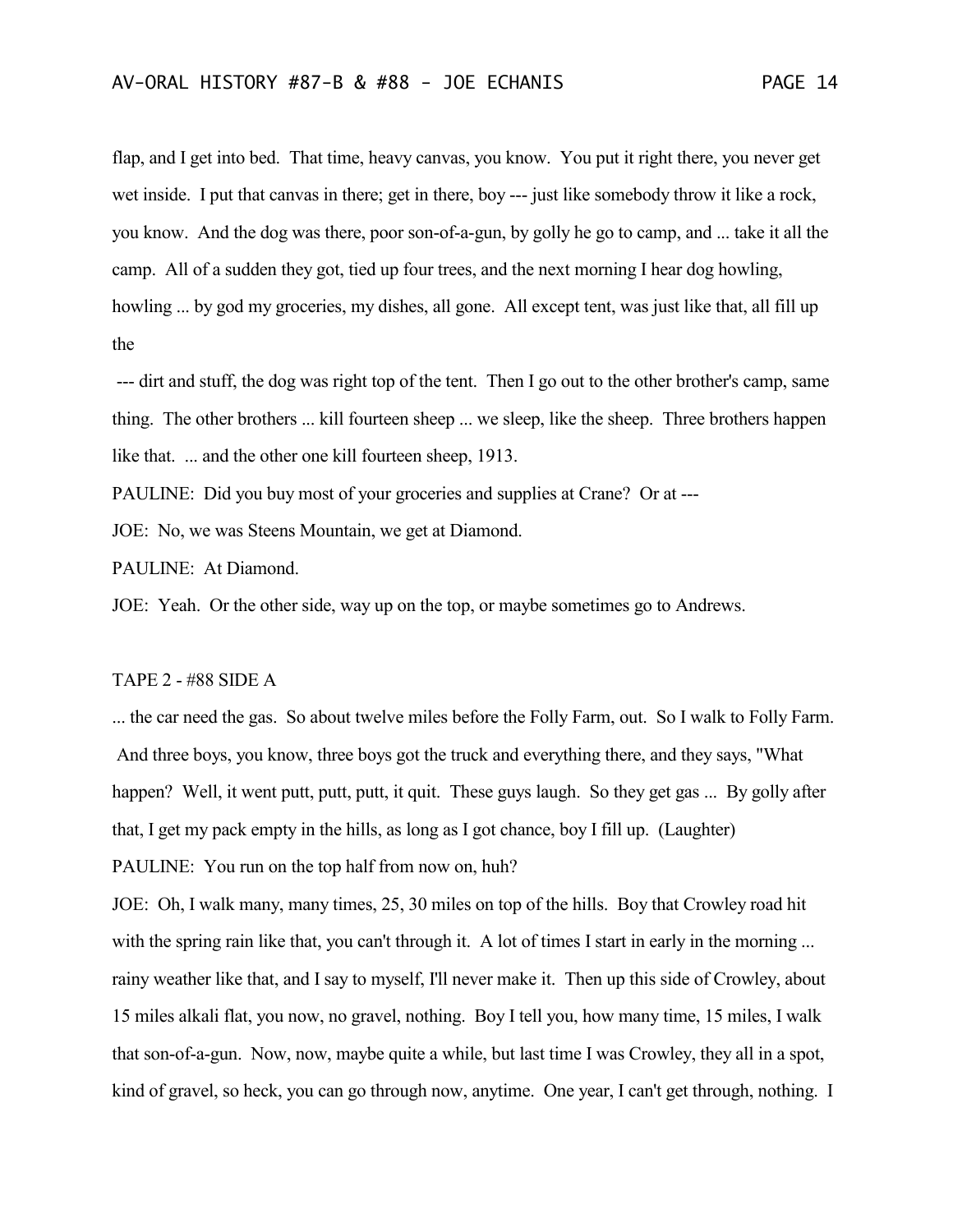flap, and I get into bed. That time, heavy canvas, you know. You put it right there, you never get wet inside. I put that canvas in there; get in there, boy --- just like somebody throw it like a rock, you know. And the dog was there, poor son-of-a-gun, by golly he go to camp, and ... take it all the camp. All of a sudden they got, tied up four trees, and the next morning I hear dog howling, howling ... by god my groceries, my dishes, all gone. All except tent, was just like that, all fill up the

--- dirt and stuff, the dog was right top of the tent. Then I go out to the other brother's camp, same thing. The other brothers ... kill fourteen sheep ... we sleep, like the sheep. Three brothers happen like that. ... and the other one kill fourteen sheep, 1913.

PAULINE: Did you buy most of your groceries and supplies at Crane? Or at ---

JOE: No, we was Steens Mountain, we get at Diamond.

PAULINE: At Diamond.

JOE: Yeah. Or the other side, way up on the top, or maybe sometimes go to Andrews.

#### TAPE 2 - #88 SIDE A

... the car need the gas. So about twelve miles before the Folly Farm, out. So I walk to Folly Farm. And three boys, you know, three boys got the truck and everything there, and they says, "What happen? Well, it went putt, putt, putt, it quit. These guys laugh. So they get gas ... By golly after that, I get my pack empty in the hills, as long as I got chance, boy I fill up. (Laughter) PAULINE: You run on the top half from now on, huh?

JOE: Oh, I walk many, many times, 25, 30 miles on top of the hills. Boy that Crowley road hit with the spring rain like that, you can't through it. A lot of times I start in early in the morning ... rainy weather like that, and I say to myself, I'll never make it. Then up this side of Crowley, about 15 miles alkali flat, you now, no gravel, nothing. Boy I tell you, how many time, 15 miles, I walk that son-of-a-gun. Now, now, maybe quite a while, but last time I was Crowley, they all in a spot, kind of gravel, so heck, you can go through now, anytime. One year, I can't get through, nothing. I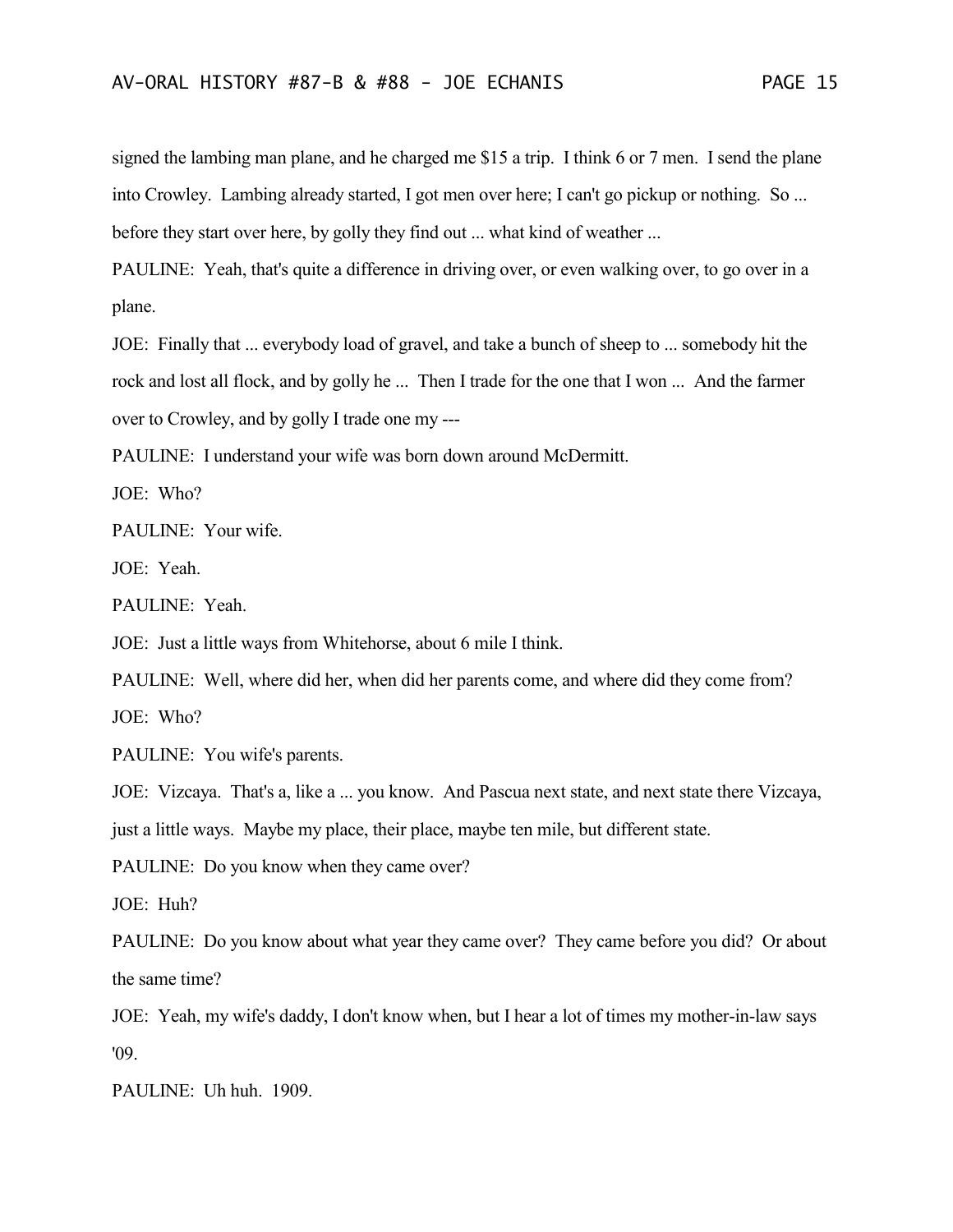signed the lambing man plane, and he charged me \$15 a trip. I think 6 or 7 men. I send the plane into Crowley. Lambing already started, I got men over here; I can't go pickup or nothing. So ... before they start over here, by golly they find out ... what kind of weather ...

PAULINE: Yeah, that's quite a difference in driving over, or even walking over, to go over in a plane.

JOE: Finally that ... everybody load of gravel, and take a bunch of sheep to ... somebody hit the rock and lost all flock, and by golly he ... Then I trade for the one that I won ... And the farmer over to Crowley, and by golly I trade one my ---

PAULINE: I understand your wife was born down around McDermitt.

JOE: Who?

PAULINE: Your wife.

JOE: Yeah.

PAULINE: Yeah.

JOE: Just a little ways from Whitehorse, about 6 mile I think.

PAULINE: Well, where did her, when did her parents come, and where did they come from? JOE: Who?

PAULINE: You wife's parents.

JOE: Vizcaya. That's a, like a ... you know. And Pascua next state, and next state there Vizcaya,

just a little ways. Maybe my place, their place, maybe ten mile, but different state.

PAULINE: Do you know when they came over?

JOE: Huh?

PAULINE: Do you know about what year they came over? They came before you did? Or about the same time?

JOE: Yeah, my wife's daddy, I don't know when, but I hear a lot of times my mother-in-law says '09.

PAULINE: Uh huh. 1909.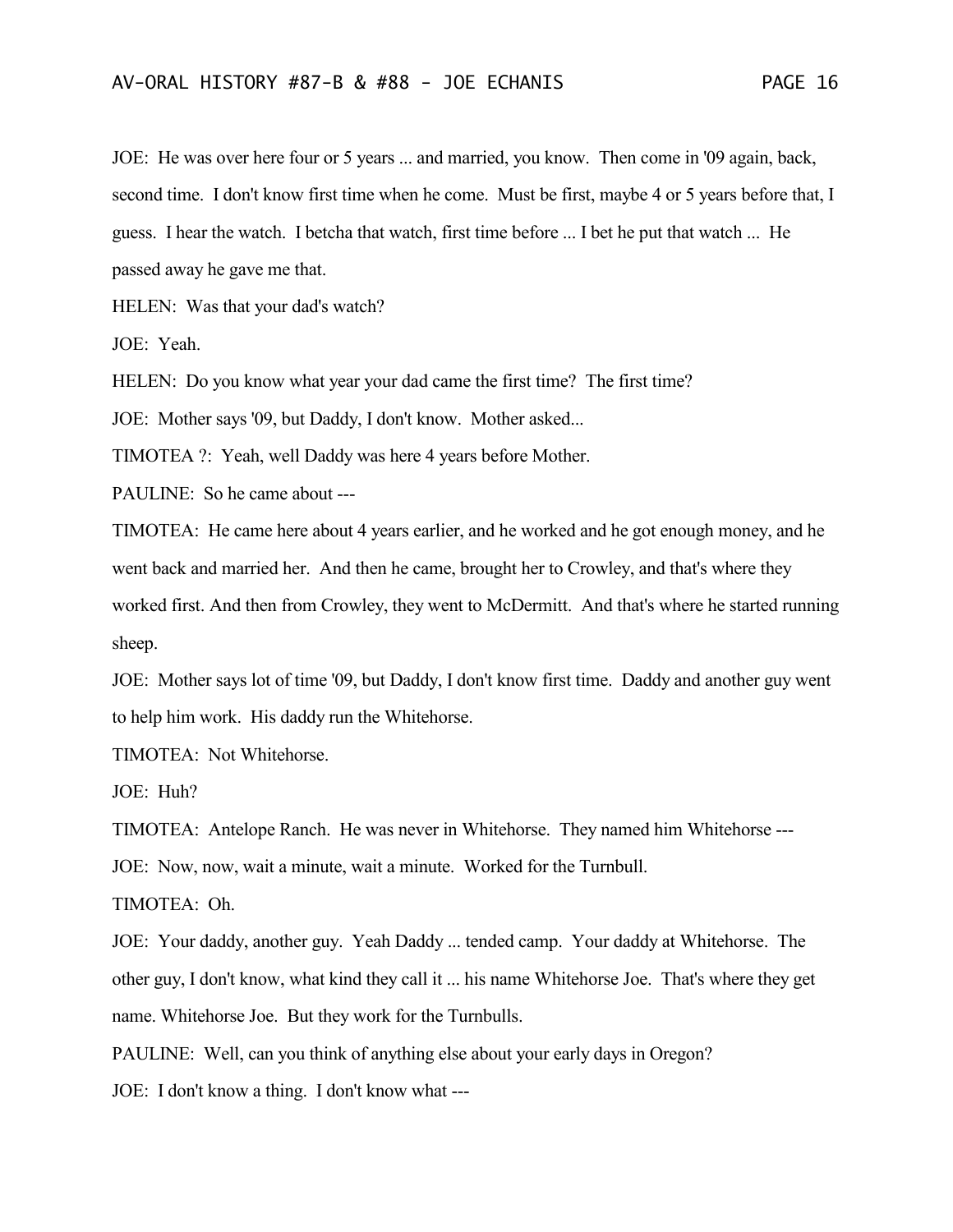JOE: He was over here four or 5 years ... and married, you know. Then come in '09 again, back, second time. I don't know first time when he come. Must be first, maybe 4 or 5 years before that, I guess. I hear the watch. I betcha that watch, first time before ... I bet he put that watch ... He passed away he gave me that.

HELEN: Was that your dad's watch?

JOE: Yeah.

HELEN: Do you know what year your dad came the first time? The first time?

JOE: Mother says '09, but Daddy, I don't know. Mother asked...

TIMOTEA ?: Yeah, well Daddy was here 4 years before Mother.

PAULINE: So he came about ---

TIMOTEA: He came here about 4 years earlier, and he worked and he got enough money, and he went back and married her. And then he came, brought her to Crowley, and that's where they worked first. And then from Crowley, they went to McDermitt. And that's where he started running sheep.

JOE: Mother says lot of time '09, but Daddy, I don't know first time. Daddy and another guy went to help him work. His daddy run the Whitehorse.

TIMOTEA: Not Whitehorse.

JOE: Huh?

TIMOTEA: Antelope Ranch. He was never in Whitehorse. They named him Whitehorse --- JOE: Now, now, wait a minute, wait a minute. Worked for the Turnbull.

TIMOTEA: Oh.

JOE: Your daddy, another guy. Yeah Daddy ... tended camp. Your daddy at Whitehorse. The other guy, I don't know, what kind they call it ... his name Whitehorse Joe. That's where they get name. Whitehorse Joe. But they work for the Turnbulls.

PAULINE: Well, can you think of anything else about your early days in Oregon?

JOE: I don't know a thing. I don't know what ---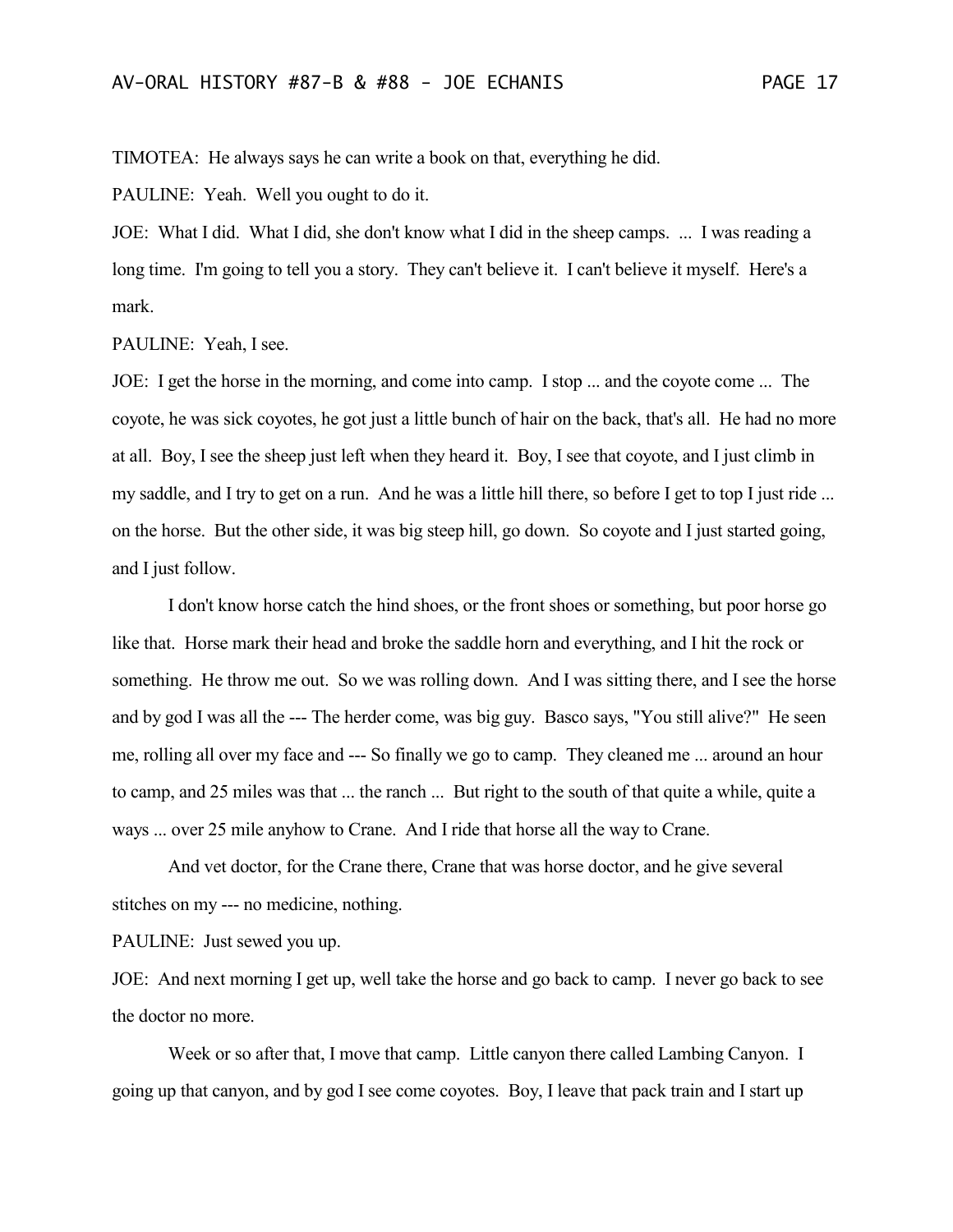TIMOTEA: He always says he can write a book on that, everything he did.

PAULINE: Yeah. Well you ought to do it.

JOE: What I did. What I did, she don't know what I did in the sheep camps. ... I was reading a long time. I'm going to tell you a story. They can't believe it. I can't believe it myself. Here's a mark.

PAULINE: Yeah, I see.

JOE: I get the horse in the morning, and come into camp. I stop ... and the coyote come ... The coyote, he was sick coyotes, he got just a little bunch of hair on the back, that's all. He had no more at all. Boy, I see the sheep just left when they heard it. Boy, I see that coyote, and I just climb in my saddle, and I try to get on a run. And he was a little hill there, so before I get to top I just ride ... on the horse. But the other side, it was big steep hill, go down. So coyote and I just started going, and I just follow.

I don't know horse catch the hind shoes, or the front shoes or something, but poor horse go like that. Horse mark their head and broke the saddle horn and everything, and I hit the rock or something. He throw me out. So we was rolling down. And I was sitting there, and I see the horse and by god I was all the --- The herder come, was big guy. Basco says, "You still alive?" He seen me, rolling all over my face and --- So finally we go to camp. They cleaned me ... around an hour to camp, and 25 miles was that ... the ranch ... But right to the south of that quite a while, quite a ways ... over 25 mile anyhow to Crane. And I ride that horse all the way to Crane.

And vet doctor, for the Crane there, Crane that was horse doctor, and he give several stitches on my --- no medicine, nothing.

PAULINE: Just sewed you up.

JOE: And next morning I get up, well take the horse and go back to camp. I never go back to see the doctor no more.

Week or so after that, I move that camp. Little canyon there called Lambing Canyon. I going up that canyon, and by god I see come coyotes. Boy, I leave that pack train and I start up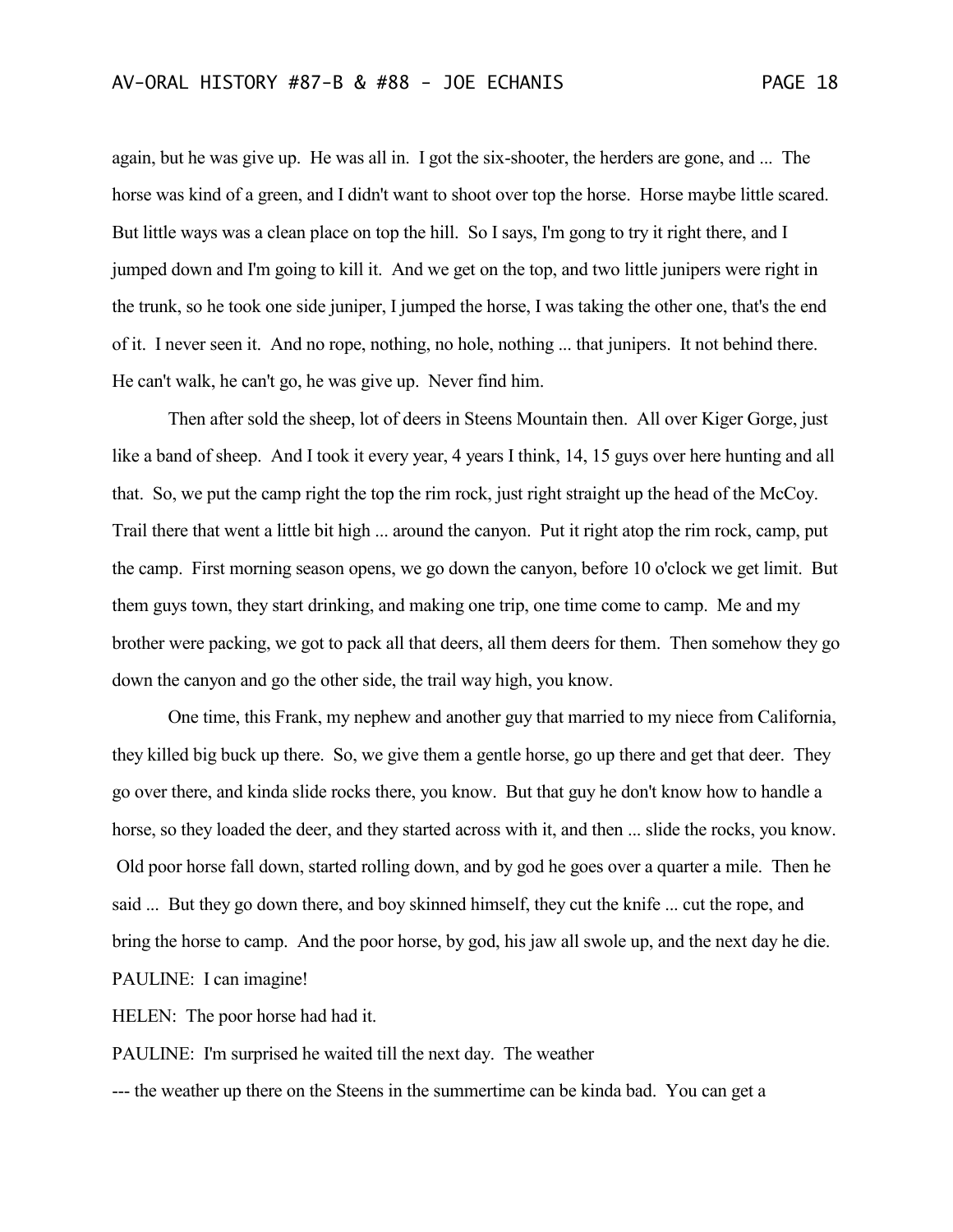again, but he was give up. He was all in. I got the six-shooter, the herders are gone, and ... The horse was kind of a green, and I didn't want to shoot over top the horse. Horse maybe little scared. But little ways was a clean place on top the hill. So I says, I'm gong to try it right there, and I jumped down and I'm going to kill it. And we get on the top, and two little junipers were right in the trunk, so he took one side juniper, I jumped the horse, I was taking the other one, that's the end of it. I never seen it. And no rope, nothing, no hole, nothing ... that junipers. It not behind there. He can't walk, he can't go, he was give up. Never find him.

Then after sold the sheep, lot of deers in Steens Mountain then. All over Kiger Gorge, just like a band of sheep. And I took it every year, 4 years I think, 14, 15 guys over here hunting and all that. So, we put the camp right the top the rim rock, just right straight up the head of the McCoy. Trail there that went a little bit high ... around the canyon. Put it right atop the rim rock, camp, put the camp. First morning season opens, we go down the canyon, before 10 o'clock we get limit. But them guys town, they start drinking, and making one trip, one time come to camp. Me and my brother were packing, we got to pack all that deers, all them deers for them. Then somehow they go down the canyon and go the other side, the trail way high, you know.

One time, this Frank, my nephew and another guy that married to my niece from California, they killed big buck up there. So, we give them a gentle horse, go up there and get that deer. They go over there, and kinda slide rocks there, you know. But that guy he don't know how to handle a horse, so they loaded the deer, and they started across with it, and then ... slide the rocks, you know. Old poor horse fall down, started rolling down, and by god he goes over a quarter a mile. Then he said ... But they go down there, and boy skinned himself, they cut the knife ... cut the rope, and bring the horse to camp. And the poor horse, by god, his jaw all swole up, and the next day he die. PAULINE: I can imagine!

HELEN: The poor horse had had it.

PAULINE: I'm surprised he waited till the next day. The weather

--- the weather up there on the Steens in the summertime can be kinda bad. You can get a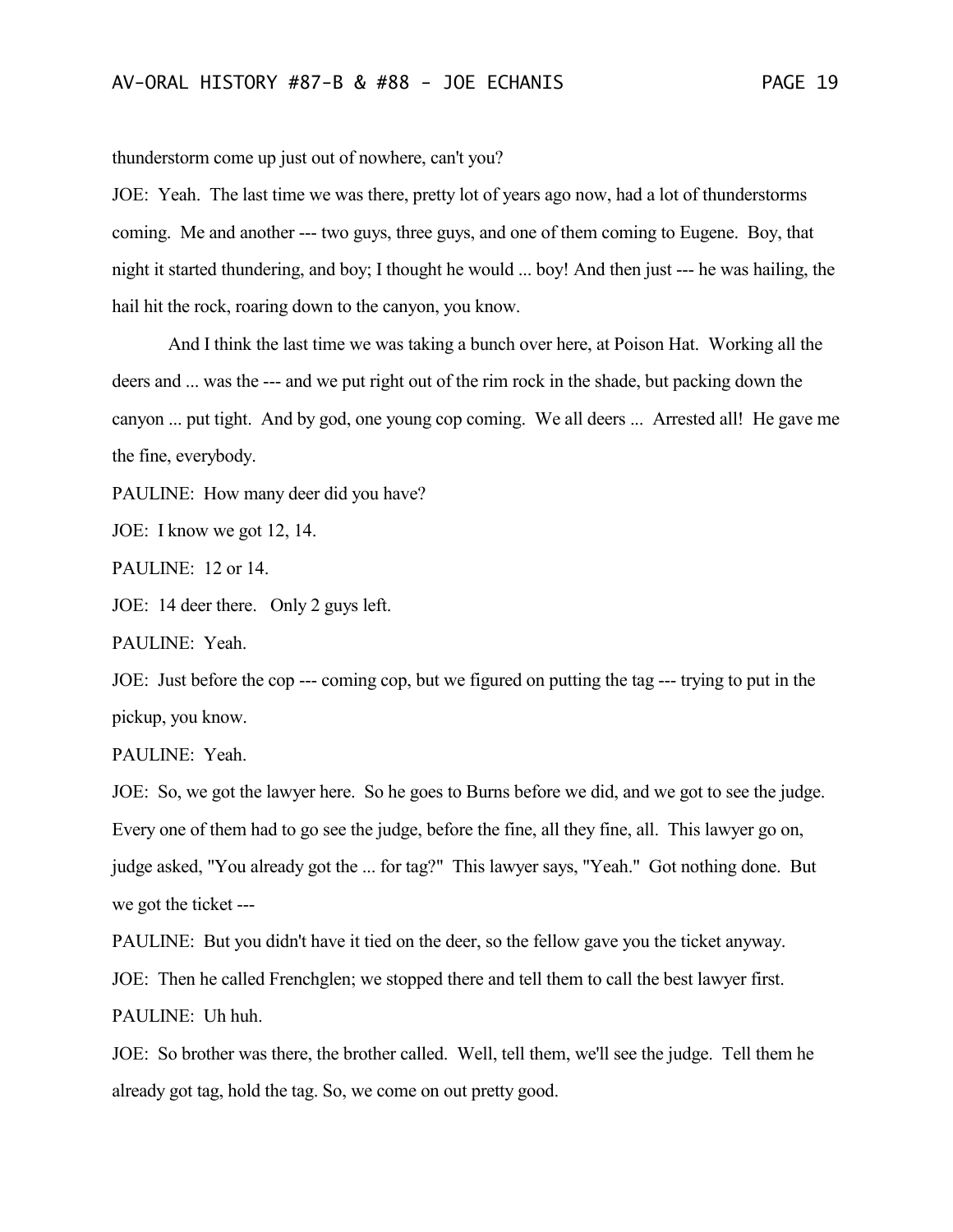thunderstorm come up just out of nowhere, can't you?

JOE: Yeah. The last time we was there, pretty lot of years ago now, had a lot of thunderstorms coming. Me and another --- two guys, three guys, and one of them coming to Eugene. Boy, that night it started thundering, and boy; I thought he would ... boy! And then just --- he was hailing, the hail hit the rock, roaring down to the canyon, you know.

And I think the last time we was taking a bunch over here, at Poison Hat. Working all the deers and ... was the --- and we put right out of the rim rock in the shade, but packing down the canyon ... put tight. And by god, one young cop coming. We all deers ... Arrested all! He gave me the fine, everybody.

PAULINE: How many deer did you have?

JOE: I know we got 12, 14.

PAULINE: 12 or 14.

JOE: 14 deer there. Only 2 guys left.

PAULINE: Yeah.

JOE: Just before the cop --- coming cop, but we figured on putting the tag --- trying to put in the pickup, you know.

PAULINE: Yeah.

JOE: So, we got the lawyer here. So he goes to Burns before we did, and we got to see the judge. Every one of them had to go see the judge, before the fine, all they fine, all. This lawyer go on, judge asked, "You already got the ... for tag?" This lawyer says, "Yeah." Got nothing done. But we got the ticket ---

PAULINE: But you didn't have it tied on the deer, so the fellow gave you the ticket anyway. JOE: Then he called Frenchglen; we stopped there and tell them to call the best lawyer first.

PAULINE: Uh huh.

JOE: So brother was there, the brother called. Well, tell them, we'll see the judge. Tell them he already got tag, hold the tag. So, we come on out pretty good.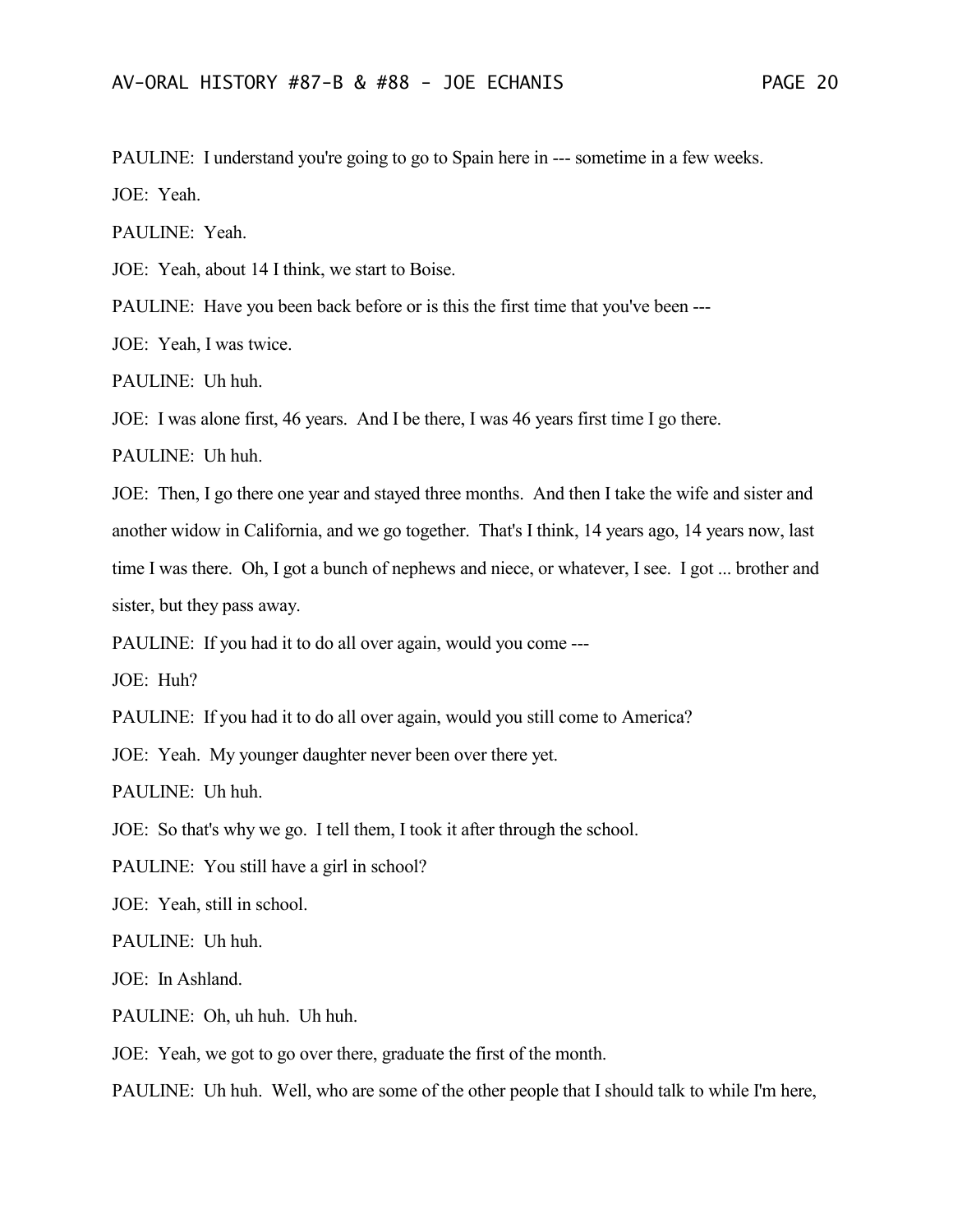PAULINE: I understand you're going to go to Spain here in --- sometime in a few weeks. JOE: Yeah.

PAULINE: Yeah.

JOE: Yeah, about 14 I think, we start to Boise.

PAULINE: Have you been back before or is this the first time that you've been ---

JOE: Yeah, I was twice.

PAULINE: Uh huh.

JOE: I was alone first, 46 years. And I be there, I was 46 years first time I go there.

PAULINE: Uh huh.

JOE: Then, I go there one year and stayed three months. And then I take the wife and sister and another widow in California, and we go together. That's I think, 14 years ago, 14 years now, last time I was there. Oh, I got a bunch of nephews and niece, or whatever, I see. I got ... brother and sister, but they pass away.

PAULINE: If you had it to do all over again, would you come ---

JOE: Huh?

PAULINE: If you had it to do all over again, would you still come to America?

JOE: Yeah. My younger daughter never been over there yet.

PAULINE: Uh huh.

JOE: So that's why we go. I tell them, I took it after through the school.

PAULINE: You still have a girl in school?

JOE: Yeah, still in school.

PAULINE: Uh huh.

JOE: In Ashland.

PAULINE: Oh, uh huh. Uh huh.

JOE: Yeah, we got to go over there, graduate the first of the month.

PAULINE: Uh huh. Well, who are some of the other people that I should talk to while I'm here,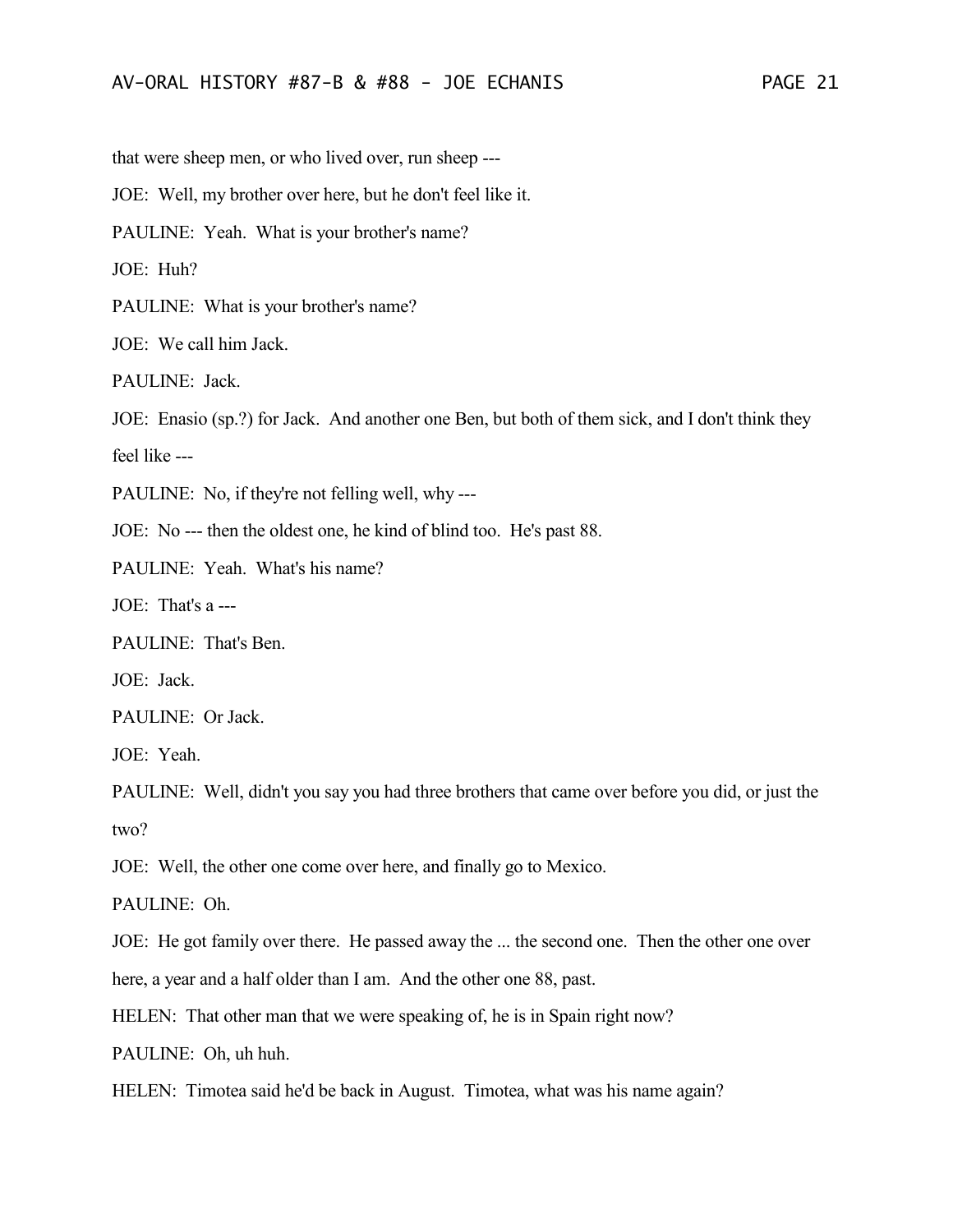that were sheep men, or who lived over, run sheep ---

JOE: Well, my brother over here, but he don't feel like it.

PAULINE: Yeah. What is your brother's name?

JOE: Huh?

PAULINE: What is your brother's name?

JOE: We call him Jack.

PAULINE: Jack.

JOE: Enasio (sp.?) for Jack. And another one Ben, but both of them sick, and I don't think they feel like ---

PAULINE: No, if they're not felling well, why ---

JOE: No --- then the oldest one, he kind of blind too. He's past 88.

PAULINE: Yeah. What's his name?

JOE: That's a ---

PAULINE: That's Ben.

JOE: Jack.

PAULINE: Or Jack.

JOE: Yeah.

PAULINE: Well, didn't you say you had three brothers that came over before you did, or just the two?

JOE: Well, the other one come over here, and finally go to Mexico.

PAULINE: Oh.

JOE: He got family over there. He passed away the ... the second one. Then the other one over

here, a year and a half older than I am. And the other one 88, past.

HELEN: That other man that we were speaking of, he is in Spain right now?

PAULINE: Oh, uh huh.

HELEN: Timotea said he'd be back in August. Timotea, what was his name again?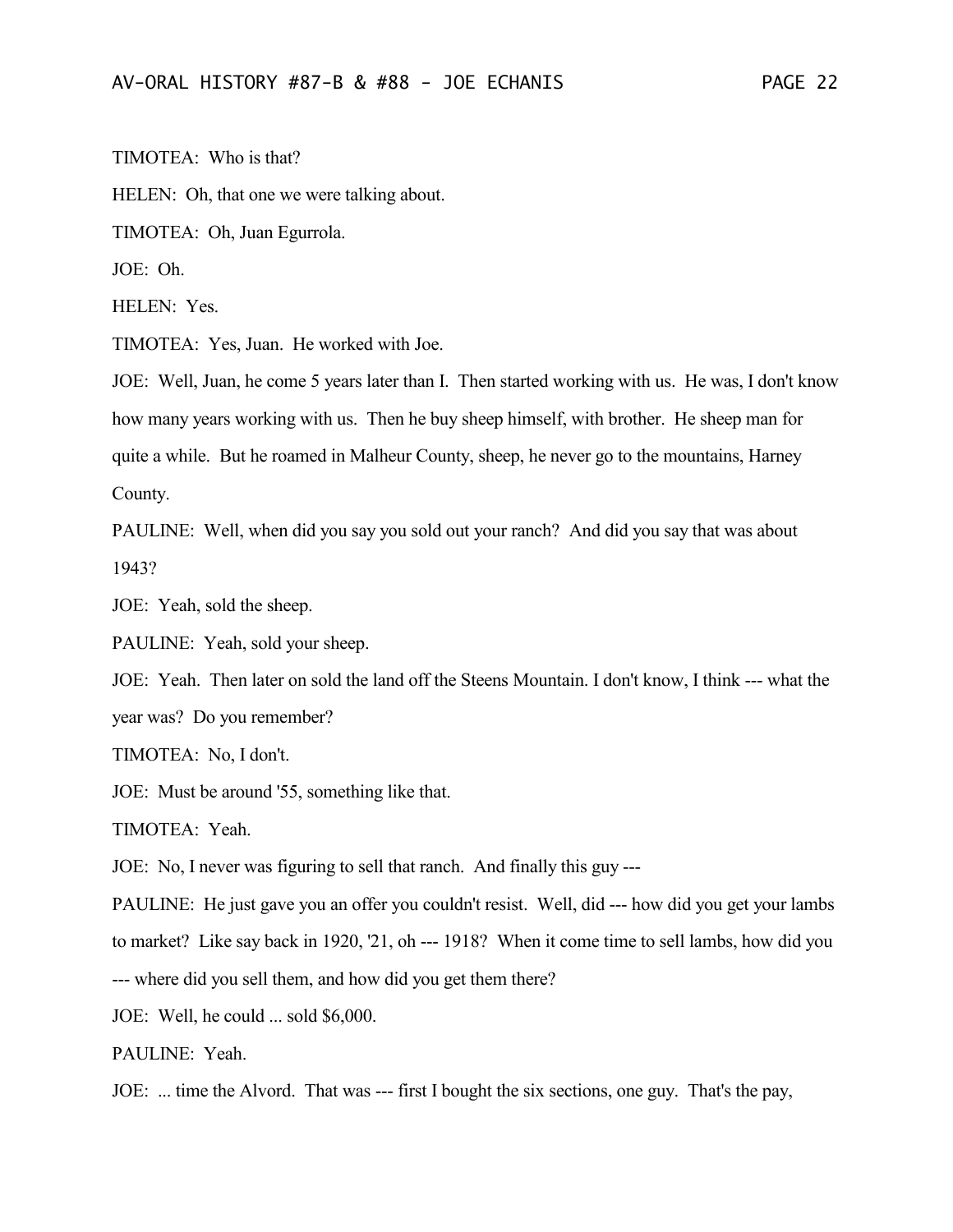TIMOTEA: Who is that?

HELEN: Oh, that one we were talking about.

TIMOTEA: Oh, Juan Egurrola.

JOE: Oh.

HELEN: Yes.

TIMOTEA: Yes, Juan. He worked with Joe.

JOE: Well, Juan, he come 5 years later than I. Then started working with us. He was, I don't know how many years working with us. Then he buy sheep himself, with brother. He sheep man for quite a while. But he roamed in Malheur County, sheep, he never go to the mountains, Harney County.

PAULINE: Well, when did you say you sold out your ranch? And did you say that was about 1943?

JOE: Yeah, sold the sheep.

PAULINE: Yeah, sold your sheep.

JOE: Yeah. Then later on sold the land off the Steens Mountain. I don't know, I think --- what the year was? Do you remember?

TIMOTEA: No, I don't.

JOE: Must be around '55, something like that.

TIMOTEA: Yeah.

JOE: No, I never was figuring to sell that ranch. And finally this guy ---

PAULINE: He just gave you an offer you couldn't resist. Well, did --- how did you get your lambs to market? Like say back in 1920, '21, oh --- 1918? When it come time to sell lambs, how did you

--- where did you sell them, and how did you get them there?

JOE: Well, he could ... sold \$6,000.

PAULINE: Yeah.

JOE: ... time the Alvord. That was --- first I bought the six sections, one guy. That's the pay,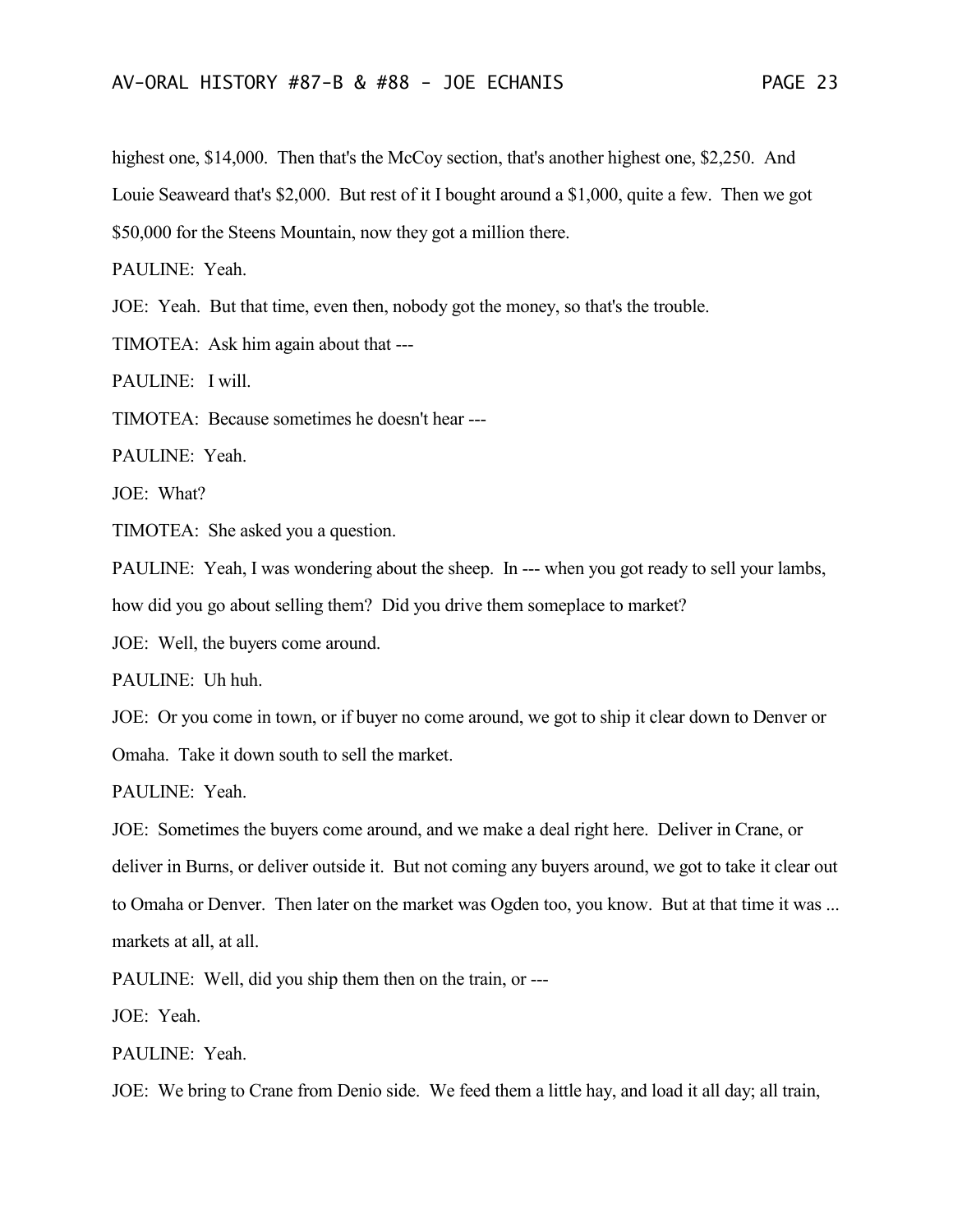highest one, \$14,000. Then that's the McCoy section, that's another highest one, \$2,250. And Louie Seaweard that's \$2,000. But rest of it I bought around a \$1,000, quite a few. Then we got \$50,000 for the Steens Mountain, now they got a million there.

PAULINE: Yeah.

JOE: Yeah. But that time, even then, nobody got the money, so that's the trouble.

TIMOTEA: Ask him again about that ---

PAULINE: I will.

TIMOTEA: Because sometimes he doesn't hear ---

PAULINE: Yeah.

JOE: What?

TIMOTEA: She asked you a question.

PAULINE: Yeah, I was wondering about the sheep. In --- when you got ready to sell your lambs,

how did you go about selling them? Did you drive them someplace to market?

JOE: Well, the buyers come around.

PAULINE: Uh huh.

JOE: Or you come in town, or if buyer no come around, we got to ship it clear down to Denver or

Omaha. Take it down south to sell the market.

PAULINE: Yeah.

JOE: Sometimes the buyers come around, and we make a deal right here. Deliver in Crane, or deliver in Burns, or deliver outside it. But not coming any buyers around, we got to take it clear out to Omaha or Denver. Then later on the market was Ogden too, you know. But at that time it was ... markets at all, at all.

PAULINE: Well, did you ship them then on the train, or ---

JOE: Yeah.

PAULINE: Yeah.

JOE: We bring to Crane from Denio side. We feed them a little hay, and load it all day; all train,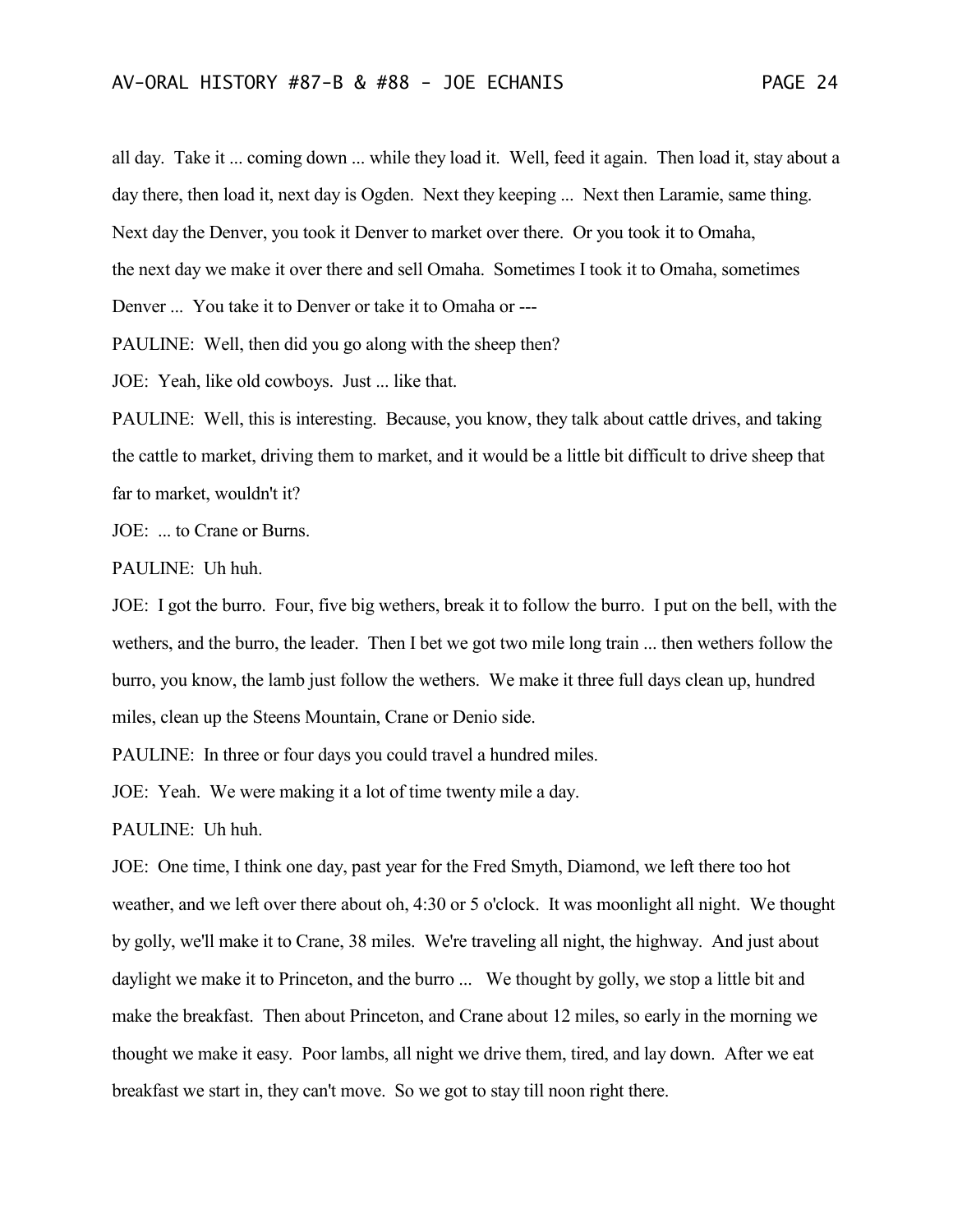all day. Take it ... coming down ... while they load it. Well, feed it again. Then load it, stay about a day there, then load it, next day is Ogden. Next they keeping ... Next then Laramie, same thing. Next day the Denver, you took it Denver to market over there. Or you took it to Omaha, the next day we make it over there and sell Omaha. Sometimes I took it to Omaha, sometimes Denver ... You take it to Denver or take it to Omaha or --- PAULINE: Well, then did you go along with the sheep then?

JOE: Yeah, like old cowboys. Just ... like that.

PAULINE: Well, this is interesting. Because, you know, they talk about cattle drives, and taking the cattle to market, driving them to market, and it would be a little bit difficult to drive sheep that far to market, wouldn't it?

JOE: ... to Crane or Burns.

PAULINE: Uh huh.

JOE: I got the burro. Four, five big wethers, break it to follow the burro. I put on the bell, with the wethers, and the burro, the leader. Then I bet we got two mile long train ... then wethers follow the burro, you know, the lamb just follow the wethers. We make it three full days clean up, hundred miles, clean up the Steens Mountain, Crane or Denio side.

PAULINE: In three or four days you could travel a hundred miles.

JOE: Yeah. We were making it a lot of time twenty mile a day.

PAULINE: Uh huh.

JOE: One time, I think one day, past year for the Fred Smyth, Diamond, we left there too hot weather, and we left over there about oh, 4:30 or 5 o'clock. It was moonlight all night. We thought by golly, we'll make it to Crane, 38 miles. We're traveling all night, the highway. And just about daylight we make it to Princeton, and the burro ... We thought by golly, we stop a little bit and make the breakfast. Then about Princeton, and Crane about 12 miles, so early in the morning we thought we make it easy. Poor lambs, all night we drive them, tired, and lay down. After we eat breakfast we start in, they can't move. So we got to stay till noon right there.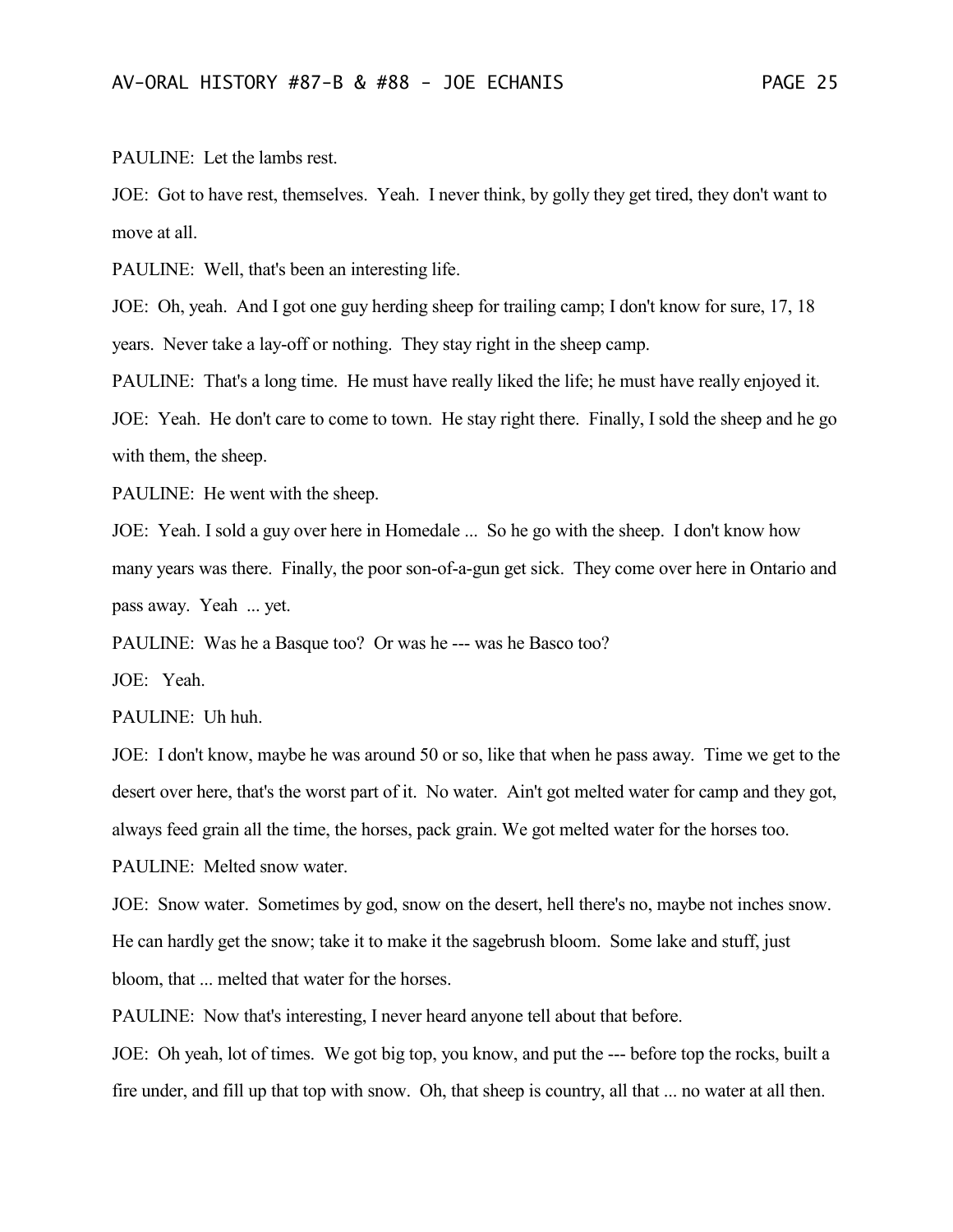PAULINE: Let the lambs rest.

JOE: Got to have rest, themselves. Yeah. I never think, by golly they get tired, they don't want to move at all.

PAULINE: Well, that's been an interesting life.

JOE: Oh, yeah. And I got one guy herding sheep for trailing camp; I don't know for sure, 17, 18 years. Never take a lay-off or nothing. They stay right in the sheep camp.

PAULINE: That's a long time. He must have really liked the life; he must have really enjoyed it.

JOE: Yeah. He don't care to come to town. He stay right there. Finally, I sold the sheep and he go with them, the sheep.

PAULINE: He went with the sheep.

JOE: Yeah. I sold a guy over here in Homedale ... So he go with the sheep. I don't know how many years was there. Finally, the poor son-of-a-gun get sick. They come over here in Ontario and pass away. Yeah ... yet.

PAULINE: Was he a Basque too? Or was he --- was he Basco too?

JOE: Yeah.

PAULINE: Uh huh.

JOE: I don't know, maybe he was around 50 or so, like that when he pass away. Time we get to the desert over here, that's the worst part of it. No water. Ain't got melted water for camp and they got, always feed grain all the time, the horses, pack grain. We got melted water for the horses too.

PAULINE: Melted snow water.

JOE: Snow water. Sometimes by god, snow on the desert, hell there's no, maybe not inches snow. He can hardly get the snow; take it to make it the sagebrush bloom. Some lake and stuff, just bloom, that ... melted that water for the horses.

PAULINE: Now that's interesting, I never heard anyone tell about that before.

JOE: Oh yeah, lot of times. We got big top, you know, and put the --- before top the rocks, built a fire under, and fill up that top with snow. Oh, that sheep is country, all that ... no water at all then.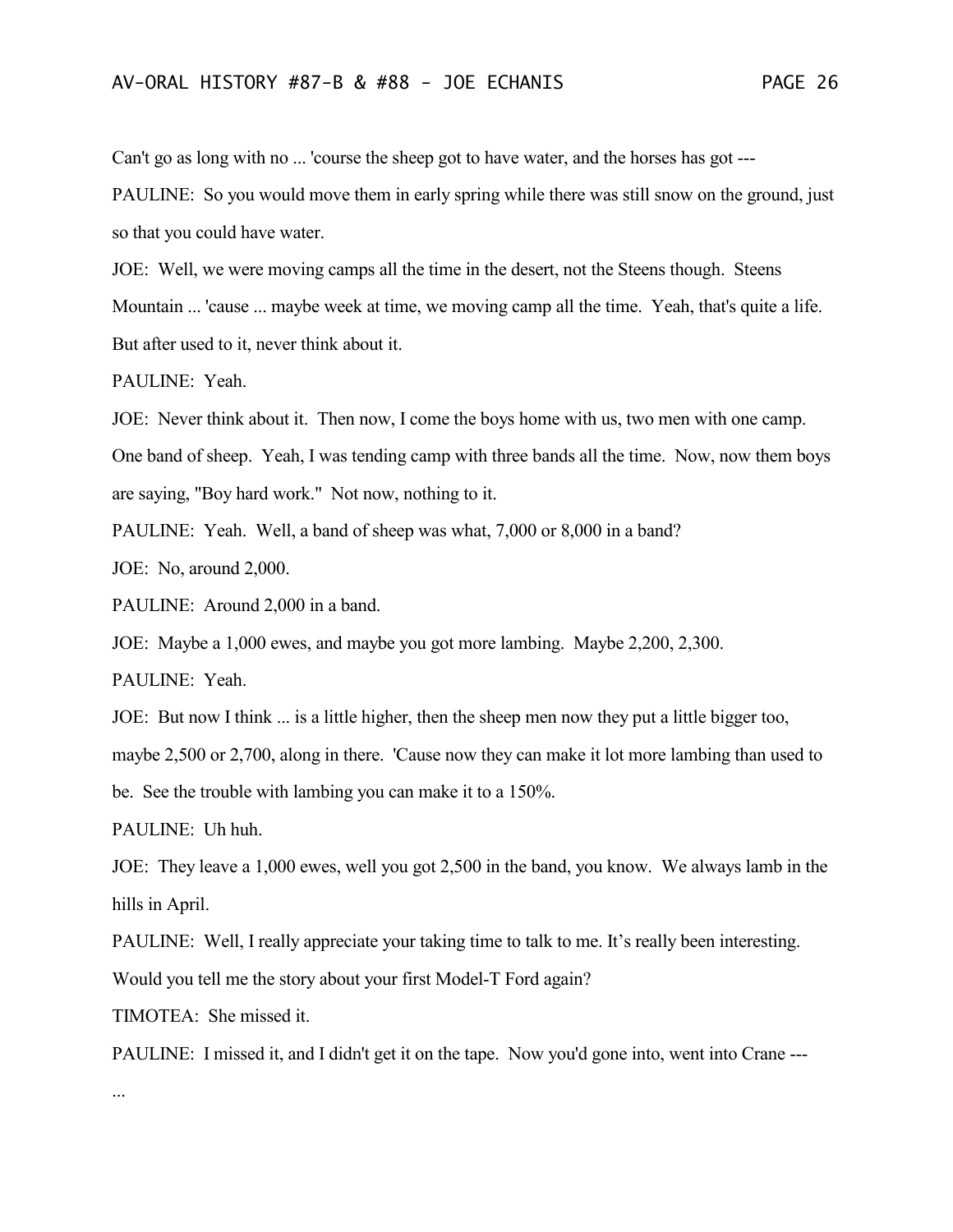Can't go as long with no ... 'course the sheep got to have water, and the horses has got ---

PAULINE: So you would move them in early spring while there was still snow on the ground, just so that you could have water.

JOE: Well, we were moving camps all the time in the desert, not the Steens though. Steens Mountain ... 'cause ... maybe week at time, we moving camp all the time. Yeah, that's quite a life. But after used to it, never think about it.

PAULINE: Yeah.

JOE: Never think about it. Then now, I come the boys home with us, two men with one camp. One band of sheep. Yeah, I was tending camp with three bands all the time. Now, now them boys are saying, "Boy hard work." Not now, nothing to it.

PAULINE: Yeah. Well, a band of sheep was what, 7,000 or 8,000 in a band?

JOE: No, around 2,000.

PAULINE: Around 2,000 in a band.

JOE: Maybe a 1,000 ewes, and maybe you got more lambing. Maybe 2,200, 2,300.

PAULINE: Yeah.

JOE: But now I think ... is a little higher, then the sheep men now they put a little bigger too,

maybe 2,500 or 2,700, along in there. 'Cause now they can make it lot more lambing than used to

be. See the trouble with lambing you can make it to a 150%.

PAULINE: Uh huh.

JOE: They leave a 1,000 ewes, well you got 2,500 in the band, you know. We always lamb in the hills in April.

PAULINE: Well, I really appreciate your taking time to talk to me. It's really been interesting.

Would you tell me the story about your first Model-T Ford again?

TIMOTEA: She missed it.

PAULINE: I missed it, and I didn't get it on the tape. Now you'd gone into, went into Crane ---

...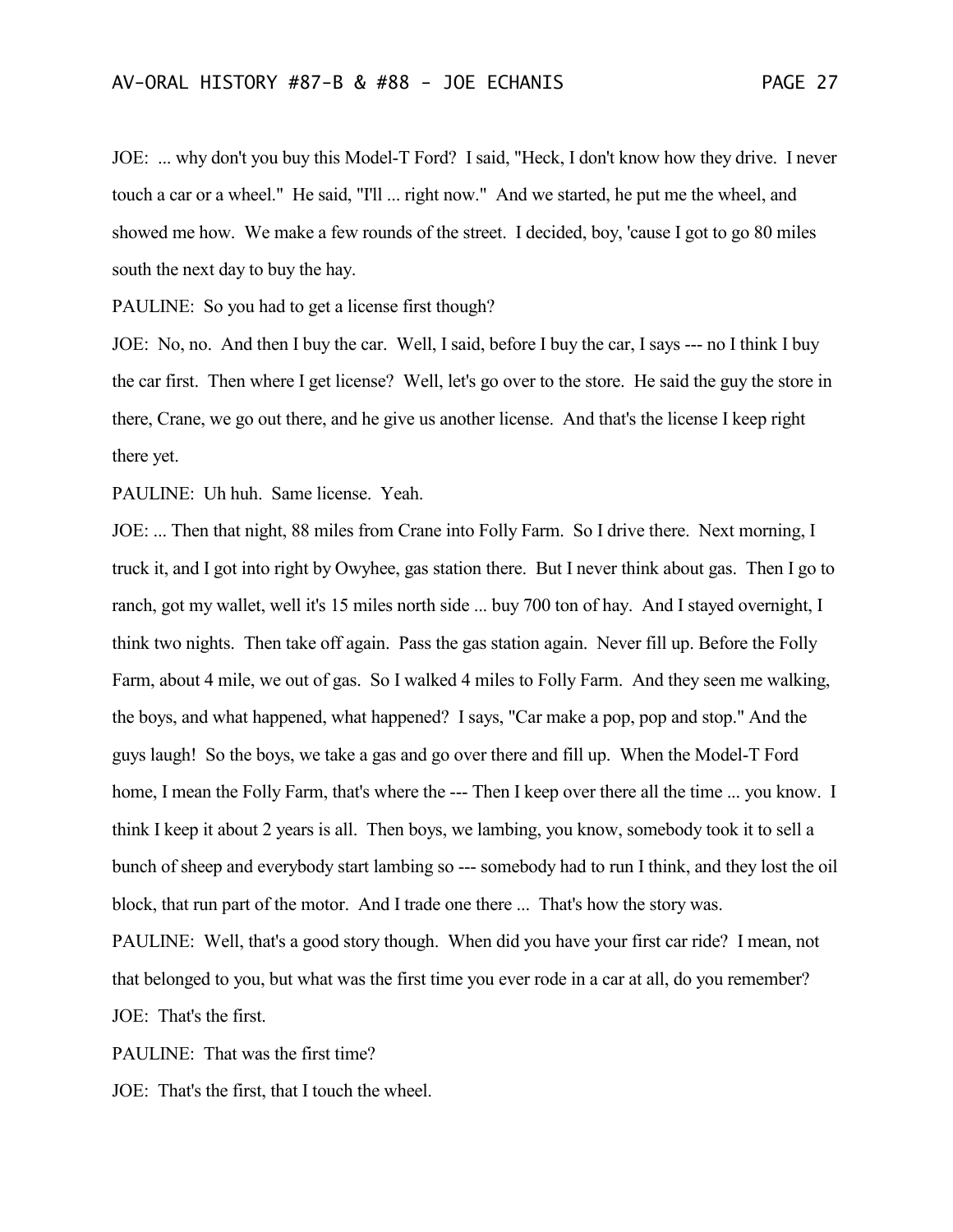JOE: ... why don't you buy this Model-T Ford? I said, "Heck, I don't know how they drive. I never touch a car or a wheel." He said, "I'll ... right now." And we started, he put me the wheel, and showed me how. We make a few rounds of the street. I decided, boy, 'cause I got to go 80 miles south the next day to buy the hay.

PAULINE: So you had to get a license first though?

JOE: No, no. And then I buy the car. Well, I said, before I buy the car, I says --- no I think I buy the car first. Then where I get license? Well, let's go over to the store. He said the guy the store in there, Crane, we go out there, and he give us another license. And that's the license I keep right there yet.

PAULINE: Uh huh. Same license. Yeah.

JOE: ... Then that night, 88 miles from Crane into Folly Farm. So I drive there. Next morning, I truck it, and I got into right by Owyhee, gas station there. But I never think about gas. Then I go to ranch, got my wallet, well it's 15 miles north side ... buy 700 ton of hay. And I stayed overnight, I think two nights. Then take off again. Pass the gas station again. Never fill up. Before the Folly Farm, about 4 mile, we out of gas. So I walked 4 miles to Folly Farm. And they seen me walking, the boys, and what happened, what happened? I says, "Car make a pop, pop and stop." And the guys laugh! So the boys, we take a gas and go over there and fill up. When the Model-T Ford home, I mean the Folly Farm, that's where the --- Then I keep over there all the time ... you know. I think I keep it about 2 years is all. Then boys, we lambing, you know, somebody took it to sell a bunch of sheep and everybody start lambing so --- somebody had to run I think, and they lost the oil block, that run part of the motor. And I trade one there ... That's how the story was. PAULINE: Well, that's a good story though. When did you have your first car ride? I mean, not that belonged to you, but what was the first time you ever rode in a car at all, do you remember? JOE: That's the first.

PAULINE: That was the first time?

JOE: That's the first, that I touch the wheel.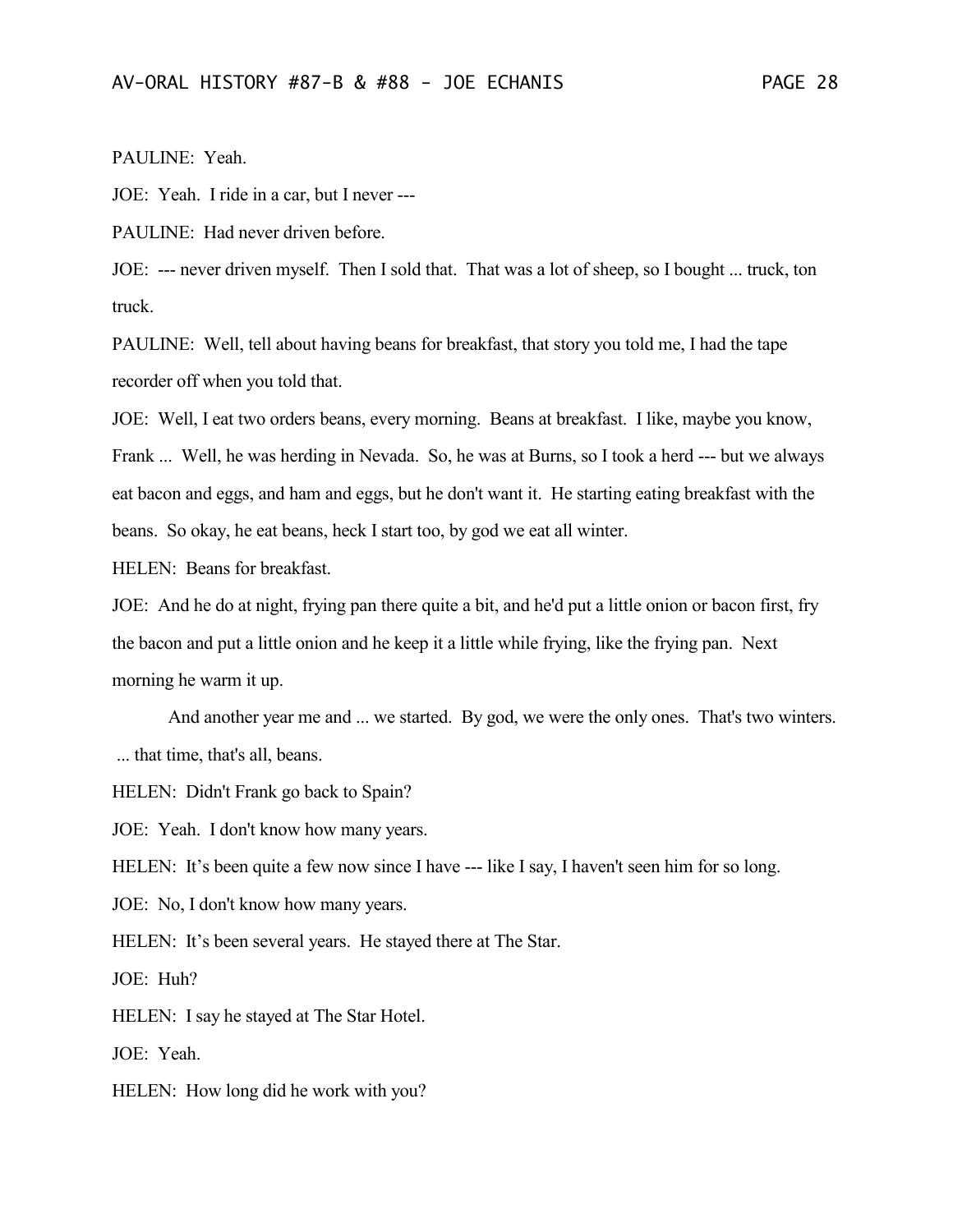PAULINE: Yeah.

JOE: Yeah. I ride in a car, but I never ---

PAULINE: Had never driven before.

JOE: --- never driven myself. Then I sold that. That was a lot of sheep, so I bought ... truck, ton truck.

PAULINE: Well, tell about having beans for breakfast, that story you told me, I had the tape recorder off when you told that.

JOE: Well, I eat two orders beans, every morning. Beans at breakfast. I like, maybe you know, Frank ... Well, he was herding in Nevada. So, he was at Burns, so I took a herd --- but we always eat bacon and eggs, and ham and eggs, but he don't want it. He starting eating breakfast with the beans. So okay, he eat beans, heck I start too, by god we eat all winter.

HELEN: Beans for breakfast.

JOE: And he do at night, frying pan there quite a bit, and he'd put a little onion or bacon first, fry the bacon and put a little onion and he keep it a little while frying, like the frying pan. Next morning he warm it up.

And another year me and ... we started. By god, we were the only ones. That's two winters. ... that time, that's all, beans.

HELEN: Didn't Frank go back to Spain?

JOE: Yeah. I don't know how many years.

HELEN: It's been quite a few now since I have --- like I say, I haven't seen him for so long.

JOE: No, I don't know how many years.

HELEN: It's been several years. He stayed there at The Star.

JOE: Huh?

HELEN: I say he stayed at The Star Hotel.

JOE: Yeah.

HELEN: How long did he work with you?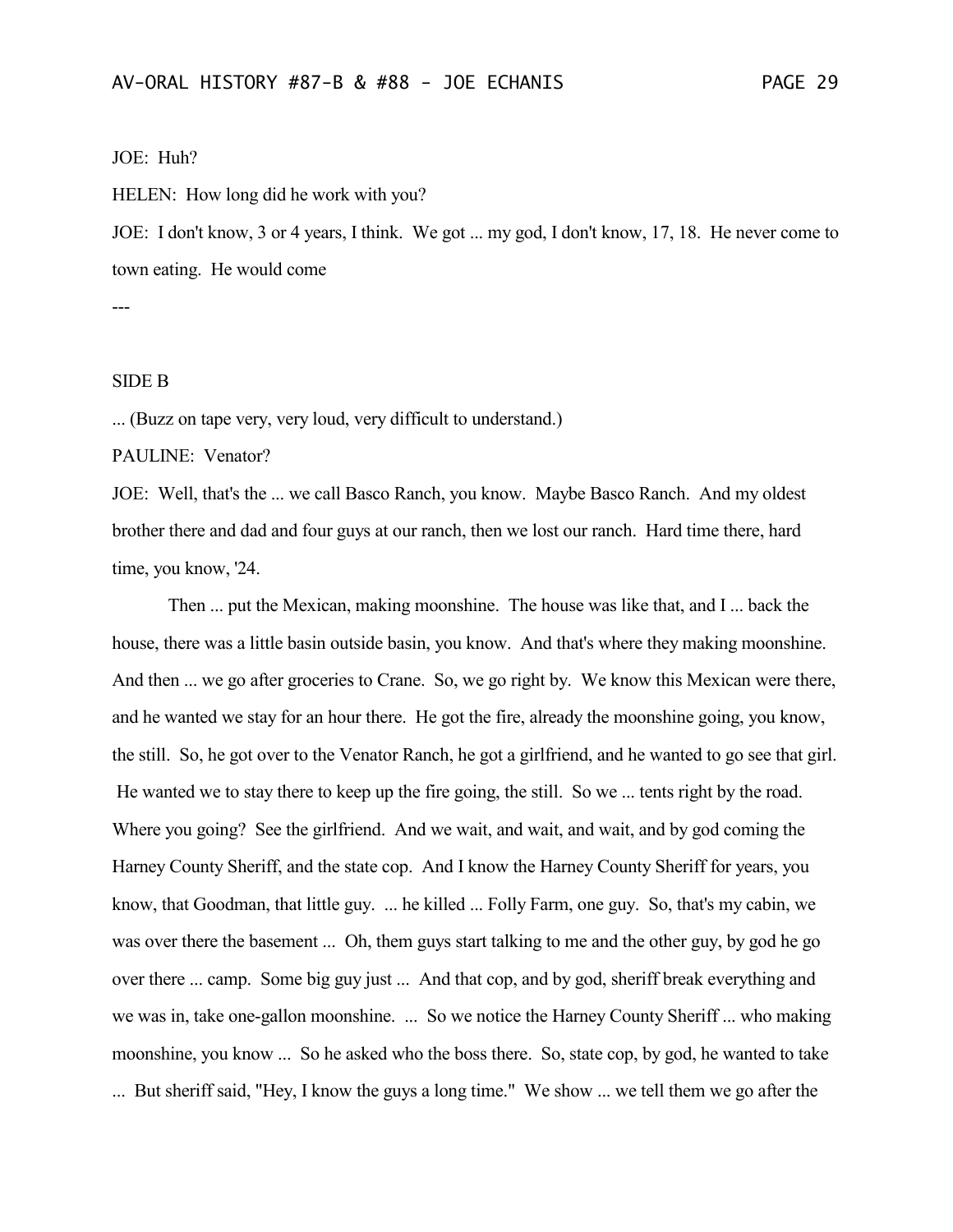### JOE: Huh?

HELEN: How long did he work with you?

JOE: I don't know, 3 or 4 years, I think. We got ... my god, I don't know, 17, 18. He never come to town eating. He would come

---

### SIDE B

... (Buzz on tape very, very loud, very difficult to understand.)

PAULINE: Venator?

JOE: Well, that's the ... we call Basco Ranch, you know. Maybe Basco Ranch. And my oldest brother there and dad and four guys at our ranch, then we lost our ranch. Hard time there, hard time, you know, '24.

Then ... put the Mexican, making moonshine. The house was like that, and I ... back the house, there was a little basin outside basin, you know. And that's where they making moonshine. And then ... we go after groceries to Crane. So, we go right by. We know this Mexican were there, and he wanted we stay for an hour there. He got the fire, already the moonshine going, you know, the still. So, he got over to the Venator Ranch, he got a girlfriend, and he wanted to go see that girl. He wanted we to stay there to keep up the fire going, the still. So we ... tents right by the road. Where you going? See the girlfriend. And we wait, and wait, and wait, and by god coming the Harney County Sheriff, and the state cop. And I know the Harney County Sheriff for years, you know, that Goodman, that little guy. ... he killed ... Folly Farm, one guy. So, that's my cabin, we was over there the basement ... Oh, them guys start talking to me and the other guy, by god he go over there ... camp. Some big guy just ... And that cop, and by god, sheriff break everything and we was in, take one-gallon moonshine. ... So we notice the Harney County Sheriff ... who making moonshine, you know ... So he asked who the boss there. So, state cop, by god, he wanted to take ... But sheriff said, "Hey, I know the guys a long time." We show ... we tell them we go after the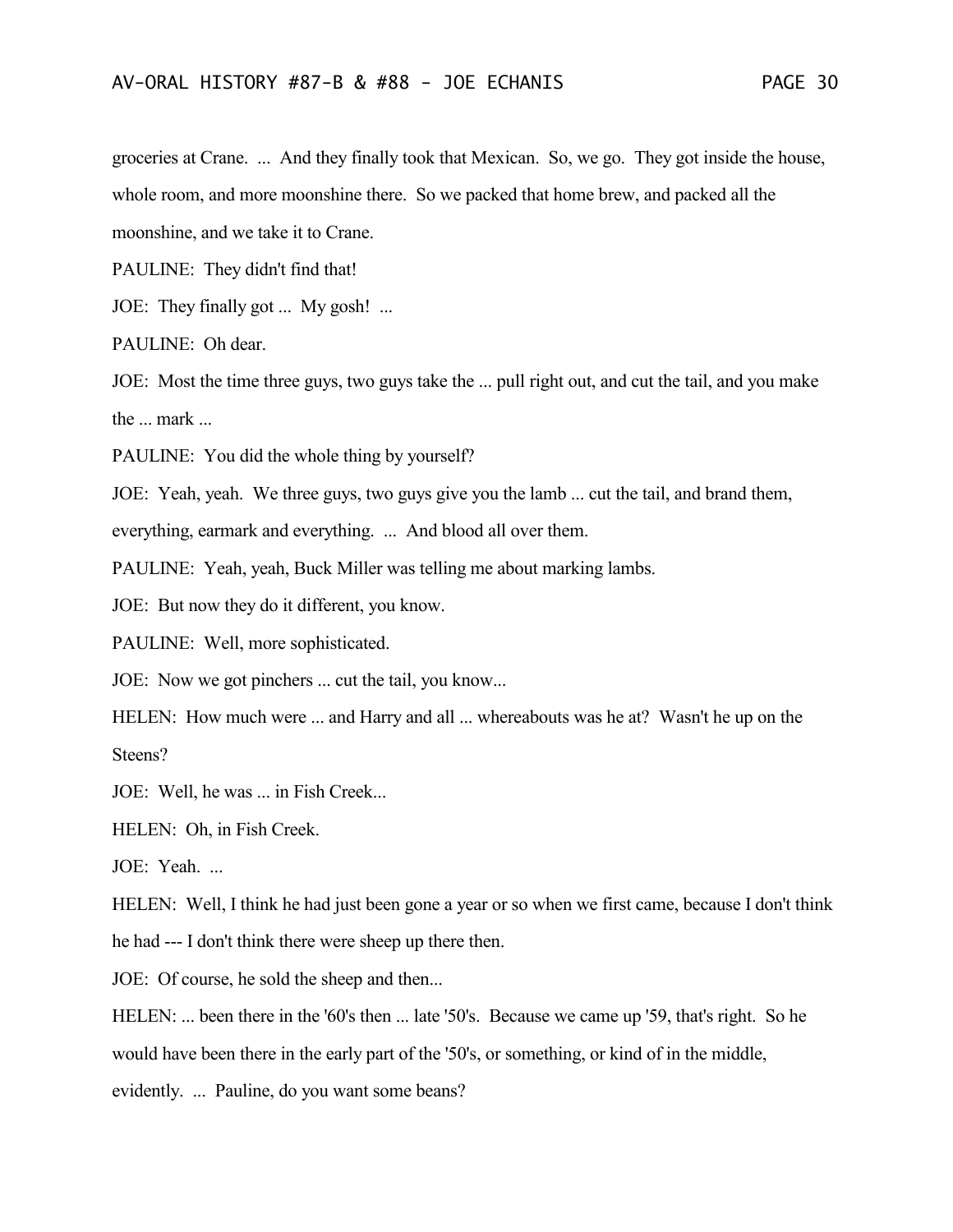groceries at Crane. ... And they finally took that Mexican. So, we go. They got inside the house, whole room, and more moonshine there. So we packed that home brew, and packed all the moonshine, and we take it to Crane.

PAULINE: They didn't find that!

JOE: They finally got ... My gosh! ...

PAULINE: Oh dear.

JOE: Most the time three guys, two guys take the ... pull right out, and cut the tail, and you make the ... mark ...

PAULINE: You did the whole thing by yourself?

JOE: Yeah, yeah. We three guys, two guys give you the lamb ... cut the tail, and brand them,

everything, earmark and everything. ... And blood all over them.

PAULINE: Yeah, yeah, Buck Miller was telling me about marking lambs.

JOE: But now they do it different, you know.

PAULINE: Well, more sophisticated.

JOE: Now we got pinchers ... cut the tail, you know...

HELEN: How much were ... and Harry and all ... whereabouts was he at? Wasn't he up on the Steens?

JOE: Well, he was ... in Fish Creek...

HELEN: Oh, in Fish Creek.

JOE: Yeah. ...

HELEN: Well, I think he had just been gone a year or so when we first came, because I don't think he had --- I don't think there were sheep up there then.

JOE: Of course, he sold the sheep and then...

HELEN: ... been there in the '60's then ... late '50's. Because we came up '59, that's right. So he would have been there in the early part of the '50's, or something, or kind of in the middle, evidently. ... Pauline, do you want some beans?